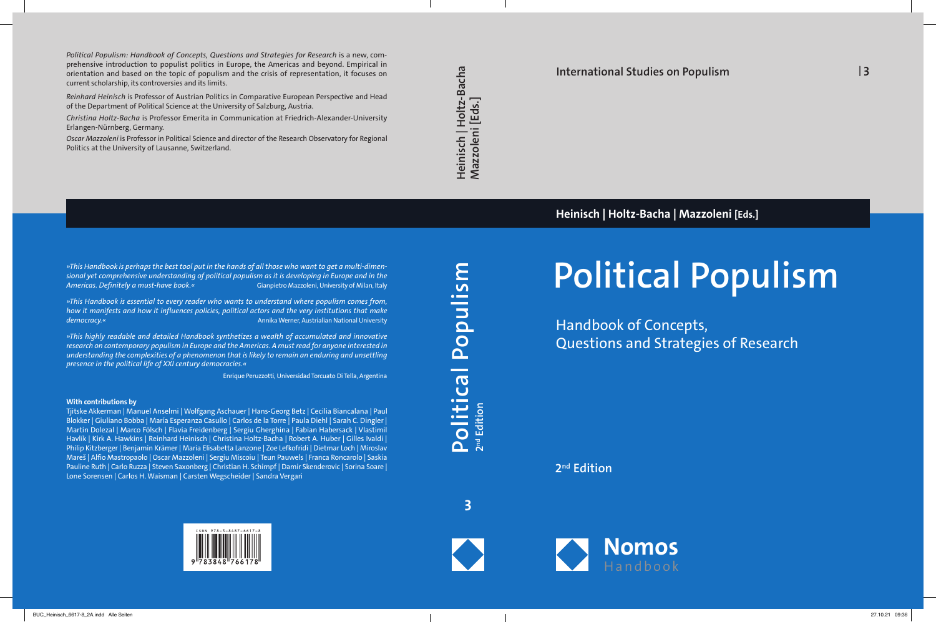**Heinisch | Holtz-Bacha | Mazzoleni [Eds.]**

# **[Political Populism](https://www.nomos-shop.de/isbn/978-3-8487-6617-8)**

Handbook of Concepts, Questions and Strategies of Research

**2nd Edition**

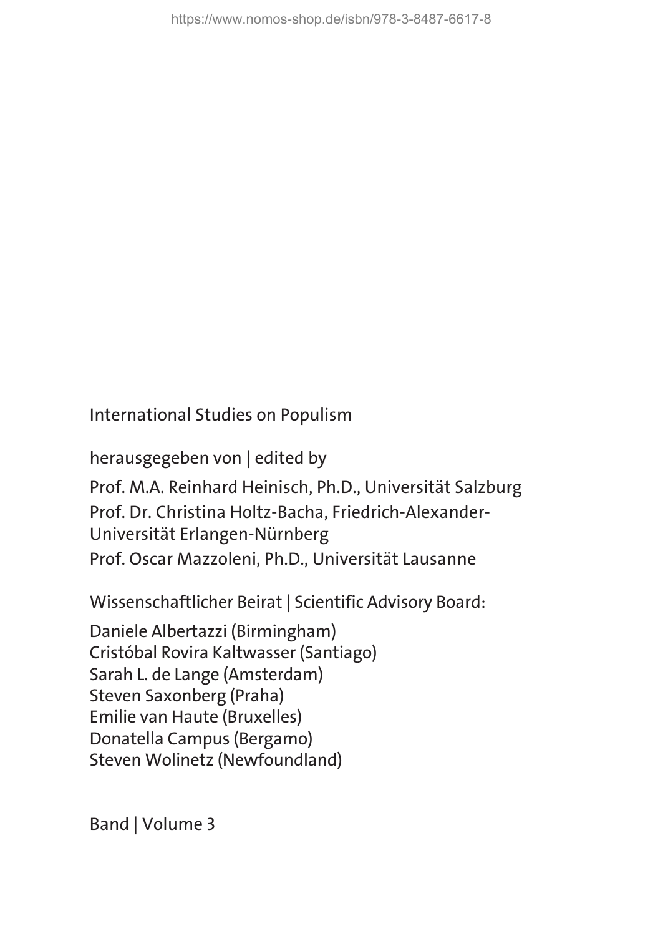International Studies on Populism

herausgegeben von | edited by Prof. M.A. Reinhard Heinisch, Ph.D., Universität Salzburg

Prof. Dr. Christina Holtz-Bacha, Friedrich-Alexander-

Universität Erlangen-Nürnberg

Prof. Oscar Mazzoleni, Ph.D., Universität Lausanne

Wissenschaftlicher Beirat | Scientific Advisory Board:

Daniele Albertazzi (Birmingham) Cristóbal Rovira Kaltwasser (Santiago) Sarah L. de Lange (Amsterdam) Steven Saxonberg (Praha) Emilie van Haute (Bruxelles) Donatella Campus (Bergamo) Steven Wolinetz (Newfoundland)

Band | Volume 3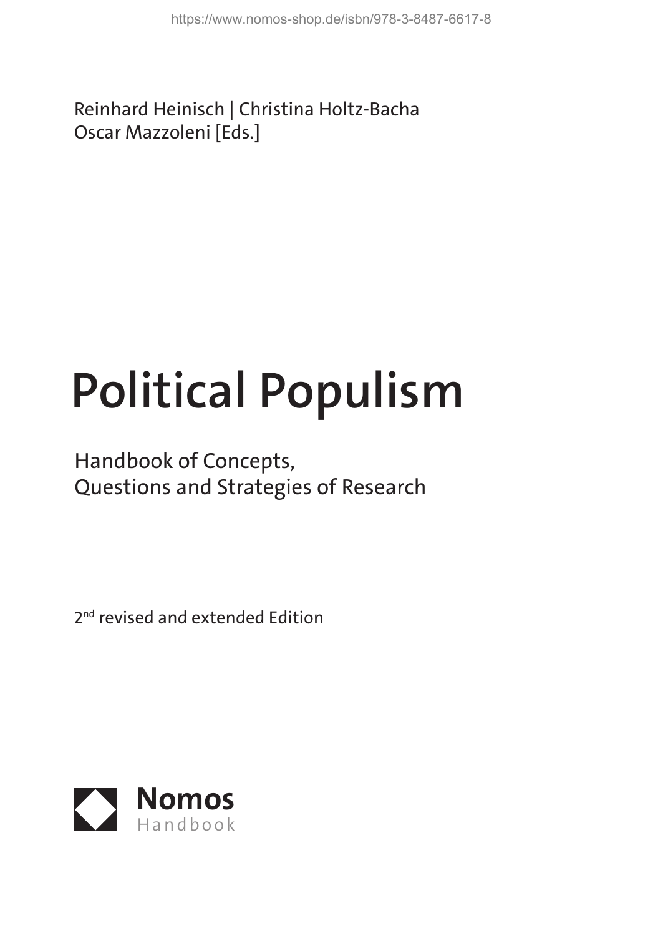Reinhard Heinisch | Christina Holtz-Bacha Oscar Mazzoleni [Eds.]

# **Political Populism**

# Handbook of Concepts, Questions and Strategies of Research

2<sup>nd</sup> revised and extended Edition

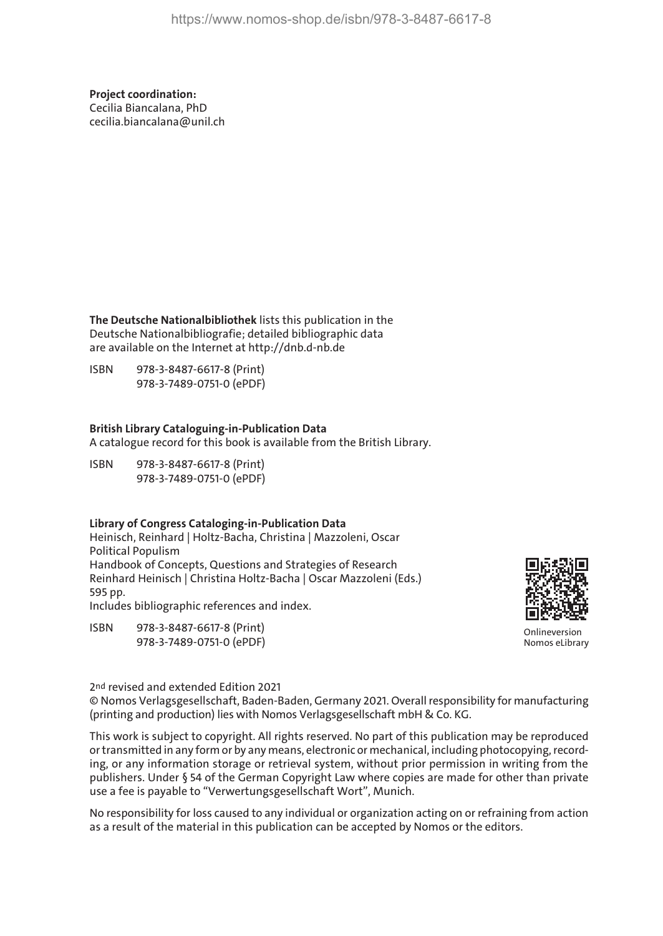**Project coordination:** Cecilia Biancalana, PhD cecilia.biancalana@unil.ch

**The Deutsche Nationalbibliothek** lists this publication in the Deutsche Nationalbibliografie; detailed bibliographic data are available on the Internet at http://dnb.d-nb.de

ISBN 978-3-8487-6617-8 (Print) 978-3-7489-0751-0 (ePDF)

#### **British Library Cataloguing-in-Publication Data**

A catalogue record for this book is available from the British Library.

ISBN 978-3-8487-6617-8 (Print) 978-3-7489-0751-0 (ePDF)

#### **Library of Congress Cataloging-in-Publication Data**

Heinisch, Reinhard | Holtz-Bacha, Christina | Mazzoleni, Oscar Political Populism Handbook of Concepts, Questions and Strategies of Research Reinhard Heinisch | Christina Holtz-Bacha | Oscar Mazzoleni (Eds.) 595 pp.

Includes bibliographic references and index.

ISBN 978-3-8487-6617-8 (Print) 978-3-7489-0751-0 (ePDF)

2nd revised and extended Edition 2021

© Nomos Verlagsgesellschaft, Baden-Baden, Germany 2021. Overall responsibility for manufacturing (printing and production) lies with Nomos Verlagsgesellschaft mbH & Co. KG.

This work is subject to copyright. All rights reserved. No part of this publication may be reproduced or transmitted in any form or by any means, electronic or mechanical, including photocopying, recording, or any information storage or retrieval system, without prior permission in writing from the publishers. Under § 54 of the German Copyright Law where copies are made for other than private use a fee is payable to "Verwertungsgesellschaft Wort", Munich.

No responsibility for loss caused to any individual or organization acting on or refraining from action as a result of the material in this publication can be accepted by Nomos or the editors.



Onlineversion Nomos eLibrary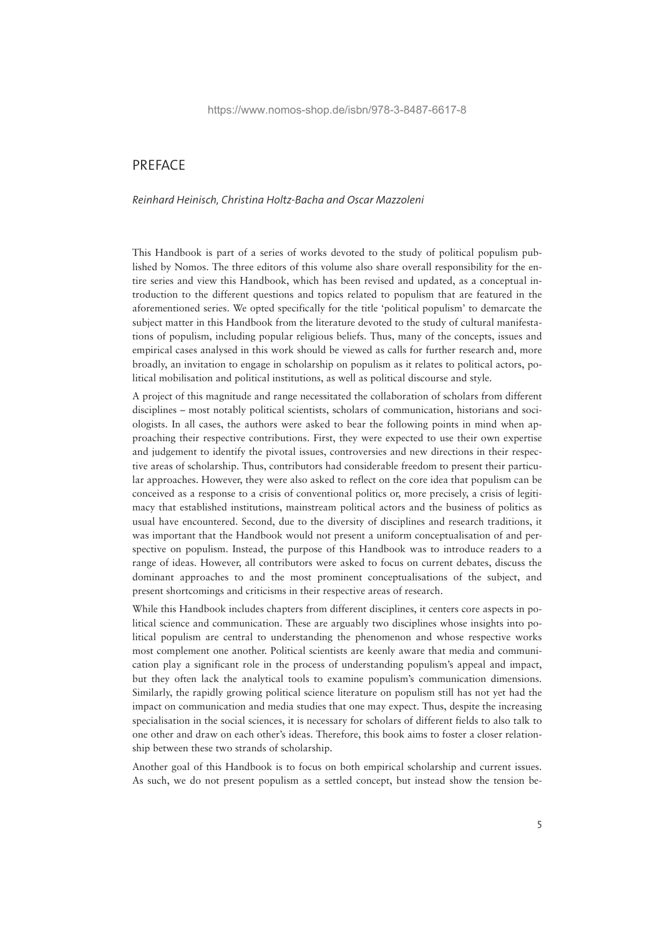## PREFACE

#### *Reinhard Heinisch, Christina Holtz-Bacha and Oscar Mazzoleni*

This Handbook is part of a series of works devoted to the study of political populism published by Nomos. The three editors of this volume also share overall responsibility for the entire series and view this Handbook, which has been revised and updated, as a conceptual introduction to the different questions and topics related to populism that are featured in the aforementioned series. We opted specifically for the title 'political populism' to demarcate the subject matter in this Handbook from the literature devoted to the study of cultural manifestations of populism, including popular religious beliefs. Thus, many of the concepts, issues and empirical cases analysed in this work should be viewed as calls for further research and, more broadly, an invitation to engage in scholarship on populism as it relates to political actors, political mobilisation and political institutions, as well as political discourse and style.

A project of this magnitude and range necessitated the collaboration of scholars from different disciplines – most notably political scientists, scholars of communication, historians and sociologists. In all cases, the authors were asked to bear the following points in mind when approaching their respective contributions. First, they were expected to use their own expertise and judgement to identify the pivotal issues, controversies and new directions in their respective areas of scholarship. Thus, contributors had considerable freedom to present their particular approaches. However, they were also asked to reflect on the core idea that populism can be conceived as a response to a crisis of conventional politics or, more precisely, a crisis of legitimacy that established institutions, mainstream political actors and the business of politics as usual have encountered. Second, due to the diversity of disciplines and research traditions, it was important that the Handbook would not present a uniform conceptualisation of and perspective on populism. Instead, the purpose of this Handbook was to introduce readers to a range of ideas. However, all contributors were asked to focus on current debates, discuss the dominant approaches to and the most prominent conceptualisations of the subject, and present shortcomings and criticisms in their respective areas of research.

While this Handbook includes chapters from different disciplines, it centers core aspects in political science and communication. These are arguably two disciplines whose insights into political populism are central to understanding the phenomenon and whose respective works most complement one another. Political scientists are keenly aware that media and communication play a significant role in the process of understanding populism's appeal and impact, but they often lack the analytical tools to examine populism's communication dimensions. Similarly, the rapidly growing political science literature on populism still has not yet had the impact on communication and media studies that one may expect. Thus, despite the increasing specialisation in the social sciences, it is necessary for scholars of different fields to also talk to one other and draw on each other's ideas. Therefore, this book aims to foster a closer relationship between these two strands of scholarship.

Another goal of this Handbook is to focus on both empirical scholarship and current issues. As such, we do not present populism as a settled concept, but instead show the tension be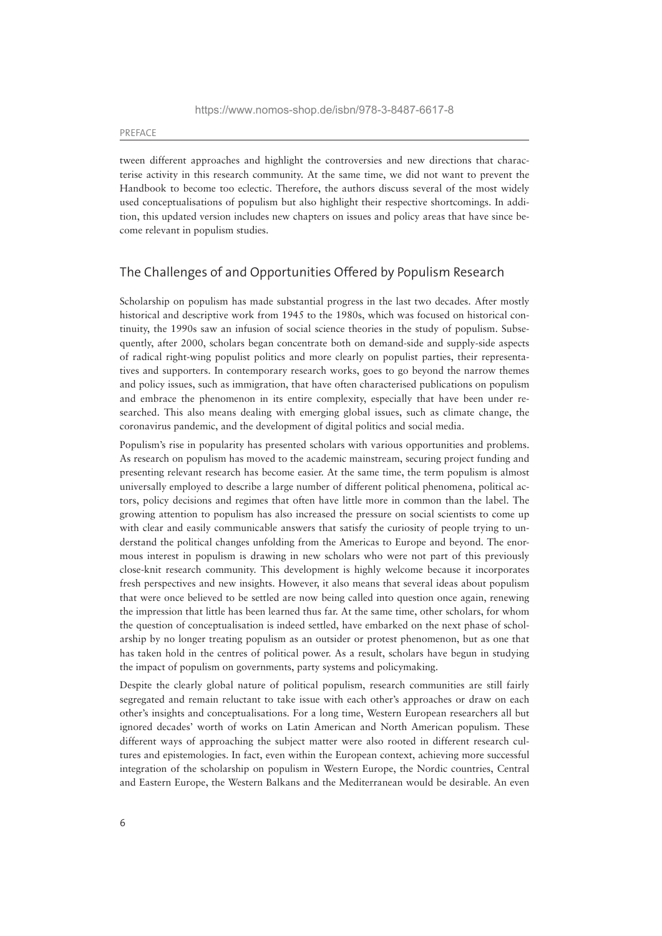tween different approaches and highlight the controversies and new directions that characterise activity in this research community. At the same time, we did not want to prevent the Handbook to become too eclectic. Therefore, the authors discuss several of the most widely used conceptualisations of populism but also highlight their respective shortcomings. In addition, this updated version includes new chapters on issues and policy areas that have since become relevant in populism studies.

## The Challenges of and Opportunities Offered by Populism Research

Scholarship on populism has made substantial progress in the last two decades. After mostly historical and descriptive work from 1945 to the 1980s, which was focused on historical continuity, the 1990s saw an infusion of social science theories in the study of populism. Subsequently, after 2000, scholars began concentrate both on demand-side and supply-side aspects of radical right-wing populist politics and more clearly on populist parties, their representatives and supporters. In contemporary research works, goes to go beyond the narrow themes and policy issues, such as immigration, that have often characterised publications on populism and embrace the phenomenon in its entire complexity, especially that have been under researched. This also means dealing with emerging global issues, such as climate change, the coronavirus pandemic, and the development of digital politics and social media.

Populism's rise in popularity has presented scholars with various opportunities and problems. As research on populism has moved to the academic mainstream, securing project funding and presenting relevant research has become easier. At the same time, the term populism is almost universally employed to describe a large number of different political phenomena, political actors, policy decisions and regimes that often have little more in common than the label. The growing attention to populism has also increased the pressure on social scientists to come up with clear and easily communicable answers that satisfy the curiosity of people trying to understand the political changes unfolding from the Americas to Europe and beyond. The enormous interest in populism is drawing in new scholars who were not part of this previously close-knit research community. This development is highly welcome because it incorporates fresh perspectives and new insights. However, it also means that several ideas about populism that were once believed to be settled are now being called into question once again, renewing the impression that little has been learned thus far. At the same time, other scholars, for whom the question of conceptualisation is indeed settled, have embarked on the next phase of scholarship by no longer treating populism as an outsider or protest phenomenon, but as one that has taken hold in the centres of political power. As a result, scholars have begun in studying the impact of populism on governments, party systems and policymaking.

Despite the clearly global nature of political populism, research communities are still fairly segregated and remain reluctant to take issue with each other's approaches or draw on each other's insights and conceptualisations. For a long time, Western European researchers all but ignored decades' worth of works on Latin American and North American populism. These different ways of approaching the subject matter were also rooted in different research cultures and epistemologies. In fact, even within the European context, achieving more successful integration of the scholarship on populism in Western Europe, the Nordic countries, Central and Eastern Europe, the Western Balkans and the Mediterranean would be desirable. An even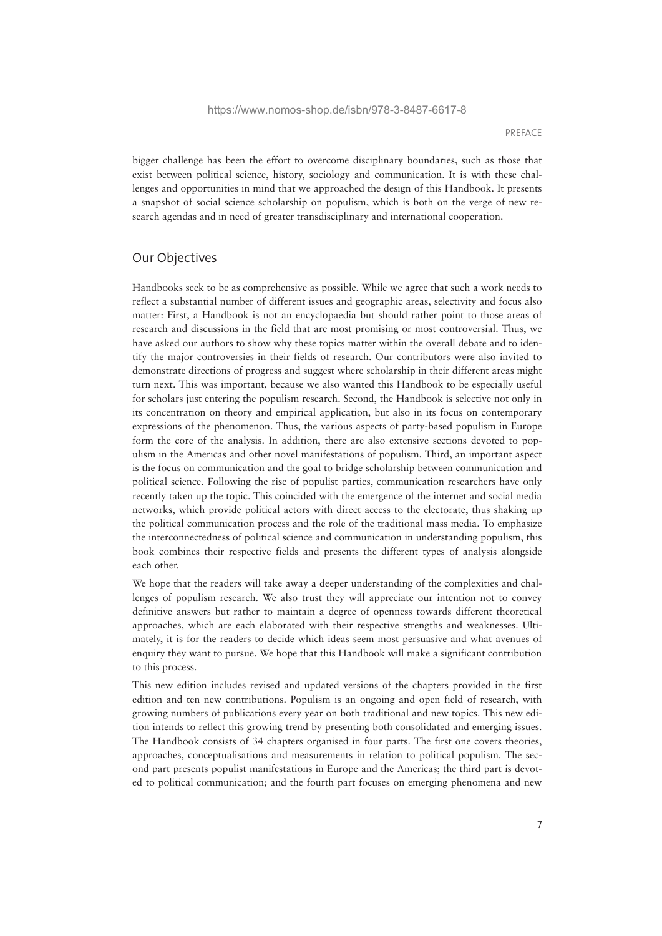bigger challenge has been the effort to overcome disciplinary boundaries, such as those that exist between political science, history, sociology and communication. It is with these challenges and opportunities in mind that we approached the design of this Handbook. It presents a snapshot of social science scholarship on populism, which is both on the verge of new research agendas and in need of greater transdisciplinary and international cooperation.

## Our Objectives

Handbooks seek to be as comprehensive as possible. While we agree that such a work needs to reflect a substantial number of different issues and geographic areas, selectivity and focus also matter: First, a Handbook is not an encyclopaedia but should rather point to those areas of research and discussions in the field that are most promising or most controversial. Thus, we have asked our authors to show why these topics matter within the overall debate and to identify the major controversies in their fields of research. Our contributors were also invited to demonstrate directions of progress and suggest where scholarship in their different areas might turn next. This was important, because we also wanted this Handbook to be especially useful for scholars just entering the populism research. Second, the Handbook is selective not only in its concentration on theory and empirical application, but also in its focus on contemporary expressions of the phenomenon. Thus, the various aspects of party-based populism in Europe form the core of the analysis. In addition, there are also extensive sections devoted to populism in the Americas and other novel manifestations of populism. Third, an important aspect is the focus on communication and the goal to bridge scholarship between communication and political science. Following the rise of populist parties, communication researchers have only recently taken up the topic. This coincided with the emergence of the internet and social media networks, which provide political actors with direct access to the electorate, thus shaking up the political communication process and the role of the traditional mass media. To emphasize the interconnectedness of political science and communication in understanding populism, this book combines their respective fields and presents the different types of analysis alongside each other.

We hope that the readers will take away a deeper understanding of the complexities and challenges of populism research. We also trust they will appreciate our intention not to convey definitive answers but rather to maintain a degree of openness towards different theoretical approaches, which are each elaborated with their respective strengths and weaknesses. Ultimately, it is for the readers to decide which ideas seem most persuasive and what avenues of enquiry they want to pursue. We hope that this Handbook will make a significant contribution to this process.

This new edition includes revised and updated versions of the chapters provided in the first edition and ten new contributions. Populism is an ongoing and open field of research, with growing numbers of publications every year on both traditional and new topics. This new edition intends to reflect this growing trend by presenting both consolidated and emerging issues. The Handbook consists of 34 chapters organised in four parts. The first one covers theories, approaches, conceptualisations and measurements in relation to political populism. The second part presents populist manifestations in Europe and the Americas; the third part is devoted to political communication; and the fourth part focuses on emerging phenomena and new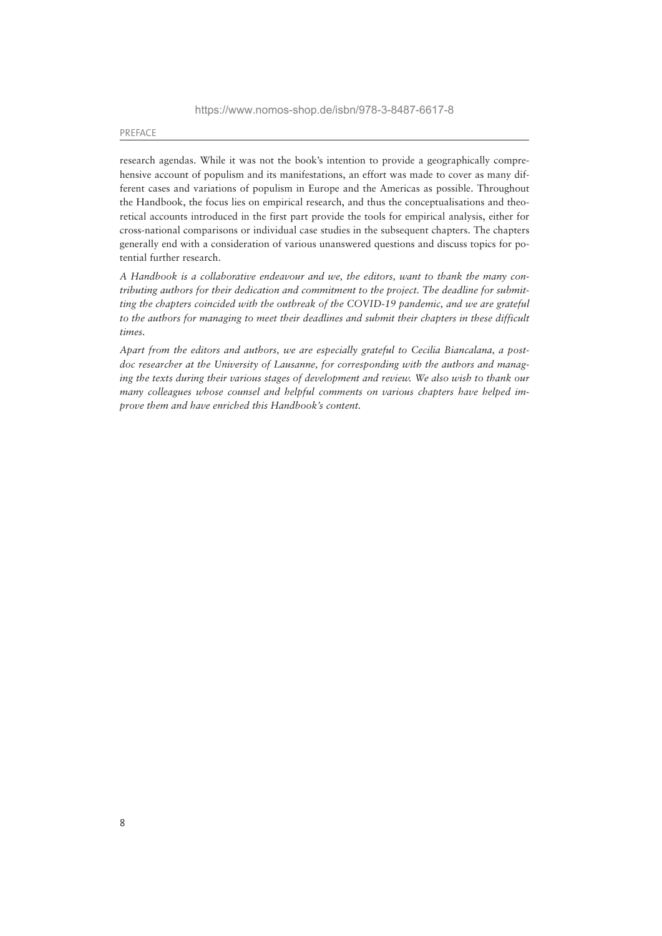PREFACE

research agendas. While it was not the book's intention to provide a geographically comprehensive account of populism and its manifestations, an effort was made to cover as many different cases and variations of populism in Europe and the Americas as possible. Throughout the Handbook, the focus lies on empirical research, and thus the conceptualisations and theoretical accounts introduced in the first part provide the tools for empirical analysis, either for cross-national comparisons or individual case studies in the subsequent chapters. The chapters generally end with a consideration of various unanswered questions and discuss topics for potential further research.

*A Handbook is a collaborative endeavour and we, the editors, want to thank the many contributing authors for their dedication and commitment to the project. The deadline for submitting the chapters coincided with the outbreak of the COVID-19 pandemic, and we are grateful to the authors for managing to meet their deadlines and submit their chapters in these difficult times.*

*Apart from the editors and authors, we are especially grateful to Cecilia Biancalana, a postdoc researcher at the University of Lausanne, for corresponding with the authors and managing the texts during their various stages of development and review. We also wish to thank our many colleagues whose counsel and helpful comments on various chapters have helped improve them and have enriched this Handbook's content.*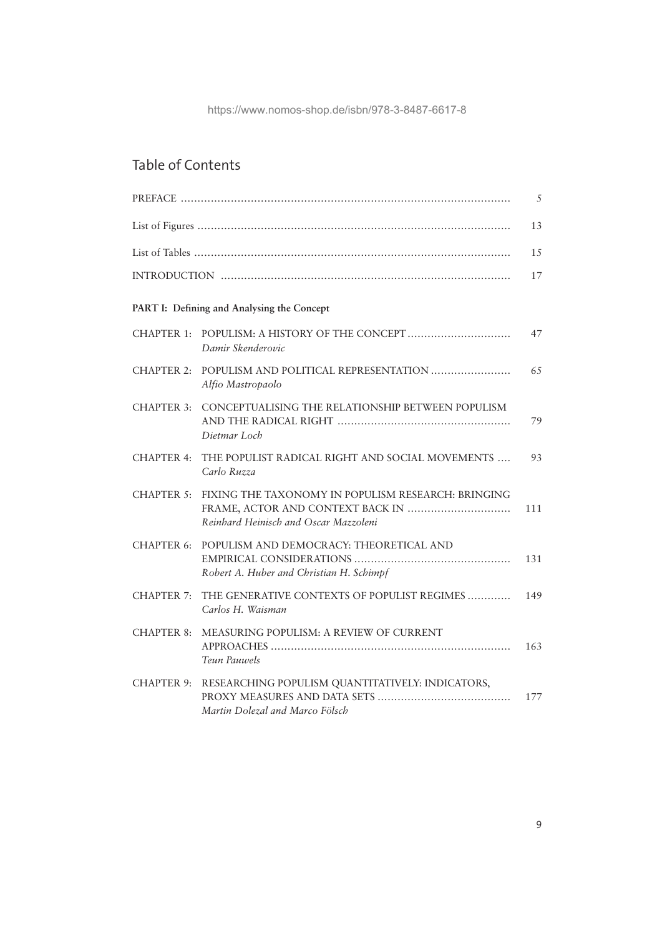## Table of Contents

|                   |                                                                                             | 5   |
|-------------------|---------------------------------------------------------------------------------------------|-----|
|                   |                                                                                             | 13  |
|                   |                                                                                             | 1.5 |
|                   |                                                                                             | 17  |
|                   | PART I: Defining and Analysing the Concept                                                  |     |
| <b>CHAPTER 1:</b> | Damir Skenderovic                                                                           | 47  |
| <b>CHAPTER 2:</b> | POPULISM AND POLITICAL REPRESENTATION<br>Alfio Mastropaolo                                  | 65  |
| CHAPTER 3:        | CONCEPTUALISING THE RELATIONSHIP BETWEEN POPULISM<br>Dietmar Loch                           | 79  |
| <b>CHAPTER 4:</b> | THE POPULIST RADICAL RIGHT AND SOCIAL MOVEMENTS<br>Carlo Ruzza                              | 93  |
| CHAPTER 5:        | FIXING THE TAXONOMY IN POPULISM RESEARCH: BRINGING<br>Reinhard Heinisch and Oscar Mazzoleni | 111 |
| CHAPTER 6:        | POPULISM AND DEMOCRACY: THEORETICAL AND<br>Robert A. Huber and Christian H. Schimpf         | 131 |
| <b>CHAPTER 7:</b> | THE GENERATIVE CONTEXTS OF POPULIST REGIMES<br>Carlos H. Waisman                            | 149 |
| <b>CHAPTER 8:</b> | MEASURING POPULISM: A REVIEW OF CURRENT<br>Teun Pauwels                                     | 163 |
| CHAPTER 9:        | RESEARCHING POPULISM QUANTITATIVELY: INDICATORS,<br>Martin Dolezal and Marco Fölsch         | 177 |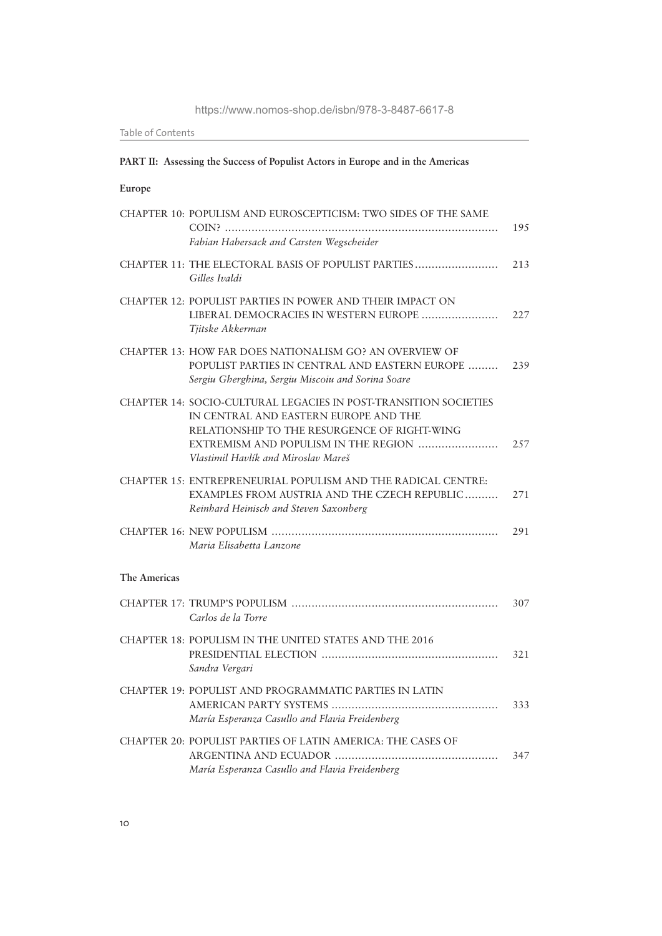## **PART II: Assessing the Success of Populist Actors in Europe and in the Americas**

## **Europe**

|              | CHAPTER 10: POPULISM AND EUROSCEPTICISM: TWO SIDES OF THE SAME<br>Fabian Habersack and Carsten Wegscheider                                                                                                                               | 195 |
|--------------|------------------------------------------------------------------------------------------------------------------------------------------------------------------------------------------------------------------------------------------|-----|
|              | CHAPTER 11: THE ELECTORAL BASIS OF POPULIST PARTIES<br>Gilles Ivaldi                                                                                                                                                                     | 213 |
|              | CHAPTER 12: POPULIST PARTIES IN POWER AND THEIR IMPACT ON<br>LIBERAL DEMOCRACIES IN WESTERN EUROPE<br>Tjitske Akkerman                                                                                                                   | 227 |
|              | CHAPTER 13: HOW FAR DOES NATIONALISM GO? AN OVERVIEW OF<br>POPULIST PARTIES IN CENTRAL AND EASTERN EUROPE<br>Sergiu Gherghina, Sergiu Miscoiu and Sorina Soare                                                                           | 239 |
|              | CHAPTER 14: SOCIO-CULTURAL LEGACIES IN POST-TRANSITION SOCIETIES<br>IN CENTRAL AND EASTERN EUROPE AND THE<br>RELATIONSHIP TO THE RESURGENCE OF RIGHT-WING<br>EXTREMISM AND POPULISM IN THE REGION<br>Vlastimil Havlík and Miroslav Mareš | 257 |
|              | CHAPTER 15: ENTREPRENEURIAL POPULISM AND THE RADICAL CENTRE:<br>EXAMPLES FROM AUSTRIA AND THE CZECH REPUBLIC<br>Reinhard Heinisch and Steven Saxonberg                                                                                   | 271 |
|              | Maria Elisabetta Lanzone                                                                                                                                                                                                                 | 291 |
| The Americas |                                                                                                                                                                                                                                          |     |
|              | Carlos de la Torre                                                                                                                                                                                                                       | 307 |
|              | CHAPTER 18: POPULISM IN THE UNITED STATES AND THE 2016<br>Sandra Vergari                                                                                                                                                                 | 321 |
|              | CHAPTER 19: POPULIST AND PROGRAMMATIC PARTIES IN LATIN<br>María Esperanza Casullo and Flavia Freidenberg                                                                                                                                 | 333 |
|              | CHAPTER 20: POPULIST PARTIES OF LATIN AMERICA: THE CASES OF<br>María Esperanza Casullo and Flavia Freidenberg                                                                                                                            | 347 |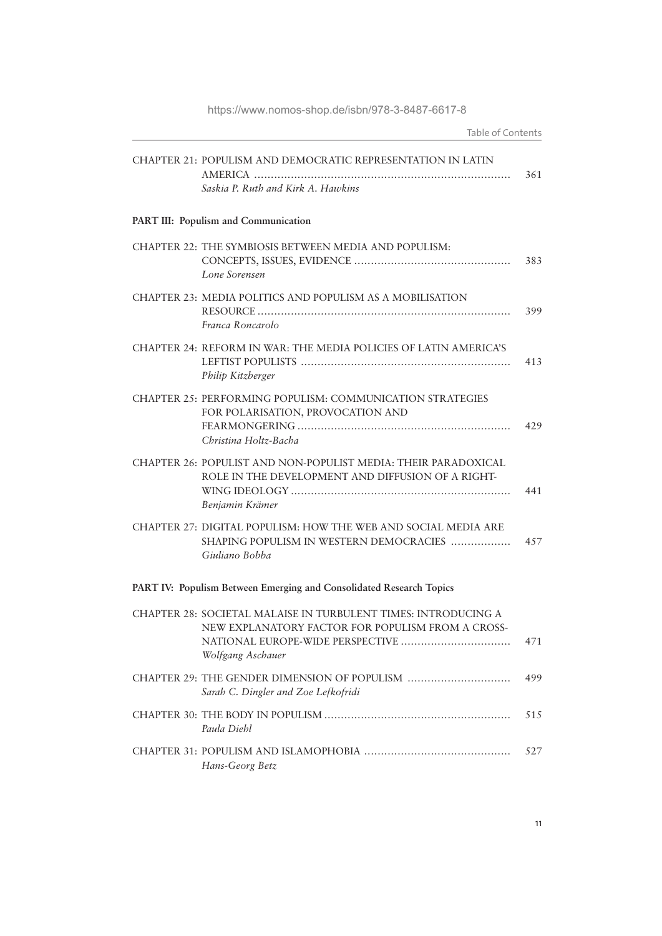| CHAPTER 21: POPULISM AND DEMOCRATIC REPRESENTATION IN LATIN<br>Saskia P. Ruth and Kirk A. Hawkins                                        | 361  |
|------------------------------------------------------------------------------------------------------------------------------------------|------|
| PART III: Populism and Communication                                                                                                     |      |
| CHAPTER 22: THE SYMBIOSIS BETWEEN MEDIA AND POPULISM:<br>Lone Sorensen                                                                   | 383  |
| CHAPTER 23: MEDIA POLITICS AND POPULISM AS A MOBILISATION<br>Franca Roncarolo                                                            | 399  |
| CHAPTER 24: REFORM IN WAR: THE MEDIA POLICIES OF LATIN AMERICA'S<br>Philip Kitzberger                                                    | 413  |
| <b>CHAPTER 25: PERFORMING POPULISM: COMMUNICATION STRATEGIES</b><br>FOR POLARISATION, PROVOCATION AND<br>Christina Holtz-Bacha           | 42.9 |
| CHAPTER 26: POPULIST AND NON-POPULIST MEDIA: THEIR PARADOXICAL<br>ROLE IN THE DEVELOPMENT AND DIFFUSION OF A RIGHT-<br>Benjamin Krämer   | 441  |
| CHAPTER 27: DIGITAL POPULISM: HOW THE WEB AND SOCIAL MEDIA ARE<br>SHAPING POPULISM IN WESTERN DEMOCRACIES<br>Giuliano Bobba              | 457  |
| PART IV: Populism Between Emerging and Consolidated Research Topics                                                                      |      |
| CHAPTER 28: SOCIETAL MALAISE IN TURBULENT TIMES: INTRODUCING A<br>NEW EXPLANATORY FACTOR FOR POPULISM FROM A CROSS-<br>Wolfgang Aschauer | 471  |
| Sarah C. Dingler and Zoe Lefkofridi                                                                                                      | 499  |
| Paula Diehl                                                                                                                              | 515  |
| Hans-Georg Betz                                                                                                                          | 527  |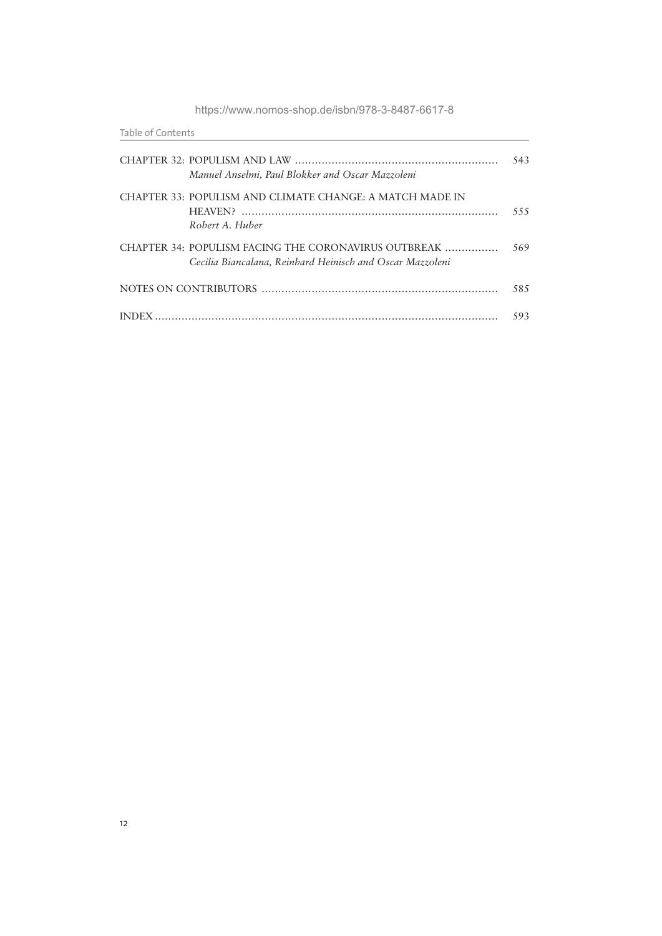| Manuel Anselmi, Paul Blokker and Oscar Mazzoleni                                                                  | 543  |
|-------------------------------------------------------------------------------------------------------------------|------|
| CHAPTER 33: POPULISM AND CLIMATE CHANGE: A MATCH MADE IN<br>Robert A. Huber                                       | 555  |
| CHAPTER 34: POPULISM FACING THE CORONAVIRUS OUTBREAK<br>Cecilia Biancalana, Reinhard Heinisch and Oscar Mazzoleni | 569  |
|                                                                                                                   | 585. |
|                                                                                                                   | 593  |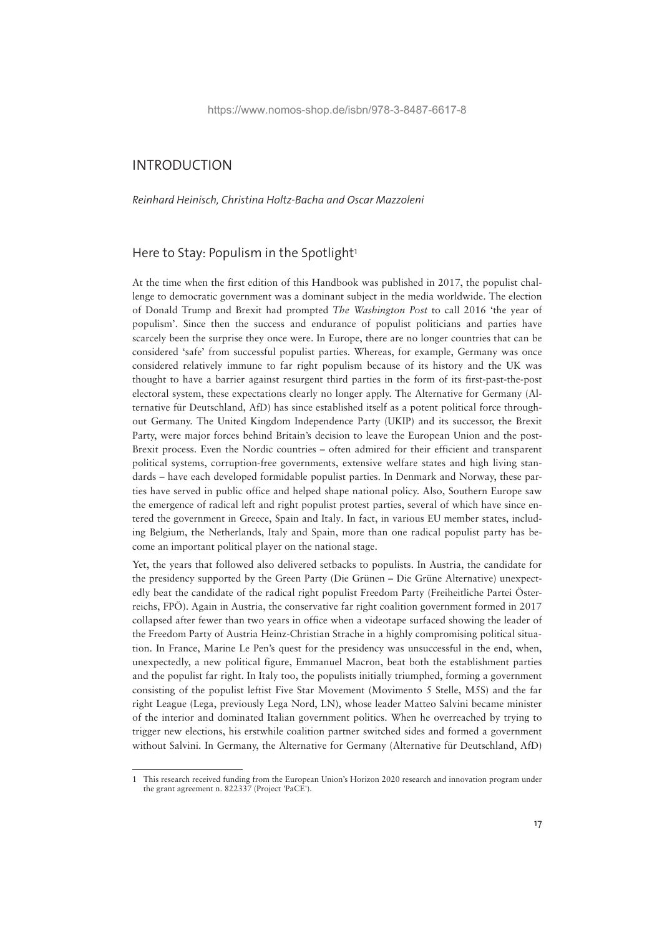## INTRODUCTION

#### *Reinhard Heinisch, Christina Holtz-Bacha and Oscar Mazzoleni*

## Here to Stay: Populism in the Spotlight<sup>1</sup>

At the time when the first edition of this Handbook was published in 2017, the populist challenge to democratic government was a dominant subject in the media worldwide. The election of Donald Trump and Brexit had prompted *The Washington Post* to call 2016 'the year of populism'. Since then the success and endurance of populist politicians and parties have scarcely been the surprise they once were. In Europe, there are no longer countries that can be considered 'safe' from successful populist parties. Whereas, for example, Germany was once considered relatively immune to far right populism because of its history and the UK was thought to have a barrier against resurgent third parties in the form of its first-past-the-post electoral system, these expectations clearly no longer apply. The Alternative for Germany (Alternative für Deutschland, AfD) has since established itself as a potent political force throughout Germany. The United Kingdom Independence Party (UKIP) and its successor, the Brexit Party, were major forces behind Britain's decision to leave the European Union and the post-Brexit process. Even the Nordic countries – often admired for their efficient and transparent political systems, corruption-free governments, extensive welfare states and high living standards – have each developed formidable populist parties. In Denmark and Norway, these parties have served in public office and helped shape national policy. Also, Southern Europe saw the emergence of radical left and right populist protest parties, several of which have since entered the government in Greece, Spain and Italy. In fact, in various EU member states, including Belgium, the Netherlands, Italy and Spain, more than one radical populist party has become an important political player on the national stage.

Yet, the years that followed also delivered setbacks to populists. In Austria, the candidate for the presidency supported by the Green Party (Die Grünen – Die Grüne Alternative) unexpectedly beat the candidate of the radical right populist Freedom Party (Freiheitliche Partei Österreichs, FPÖ). Again in Austria, the conservative far right coalition government formed in 2017 collapsed after fewer than two years in office when a videotape surfaced showing the leader of the Freedom Party of Austria Heinz-Christian Strache in a highly compromising political situation. In France, Marine Le Pen's quest for the presidency was unsuccessful in the end, when, unexpectedly, a new political figure, Emmanuel Macron, beat both the establishment parties and the populist far right. In Italy too, the populists initially triumphed, forming a government consisting of the populist leftist Five Star Movement (Movimento 5 Stelle, M5S) and the far right League (Lega, previously Lega Nord, LN), whose leader Matteo Salvini became minister of the interior and dominated Italian government politics. When he overreached by trying to trigger new elections, his erstwhile coalition partner switched sides and formed a government without Salvini. In Germany, the Alternative for Germany (Alternative für Deutschland, AfD)

<sup>1</sup> This research received funding from the European Union's Horizon 2020 research and innovation program under the grant agreement n. 822337 (Project 'PaCE').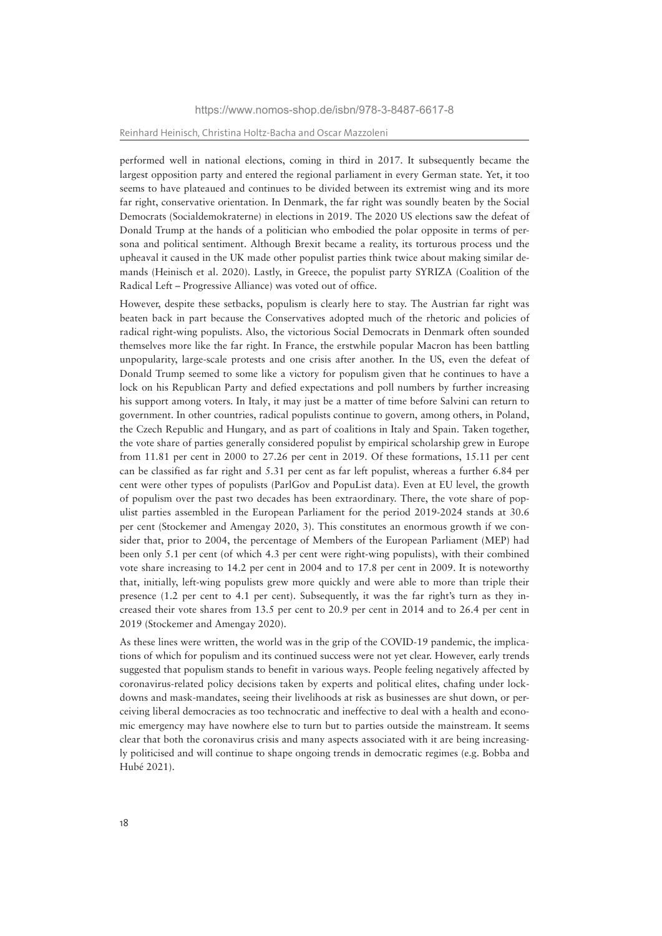#### Reinhard Heinisch, Christina Holtz-Bacha and Oscar Mazzoleni

performed well in national elections, coming in third in 2017. It subsequently became the largest opposition party and entered the regional parliament in every German state. Yet, it too seems to have plateaued and continues to be divided between its extremist wing and its more far right, conservative orientation. In Denmark, the far right was soundly beaten by the Social Democrats (Socialdemokraterne) in elections in 2019. The 2020 US elections saw the defeat of Donald Trump at the hands of a politician who embodied the polar opposite in terms of persona and political sentiment. Although Brexit became a reality, its torturous process und the upheaval it caused in the UK made other populist parties think twice about making similar demands (Heinisch et al. 2020). Lastly, in Greece, the populist party SYRIZA (Coalition of the Radical Left – Progressive Alliance) was voted out of office.

However, despite these setbacks, populism is clearly here to stay. The Austrian far right was beaten back in part because the Conservatives adopted much of the rhetoric and policies of radical right-wing populists. Also, the victorious Social Democrats in Denmark often sounded themselves more like the far right. In France, the erstwhile popular Macron has been battling unpopularity, large-scale protests and one crisis after another. In the US, even the defeat of Donald Trump seemed to some like a victory for populism given that he continues to have a lock on his Republican Party and defied expectations and poll numbers by further increasing his support among voters. In Italy, it may just be a matter of time before Salvini can return to government. In other countries, radical populists continue to govern, among others, in Poland, the Czech Republic and Hungary, and as part of coalitions in Italy and Spain. Taken together, the vote share of parties generally considered populist by empirical scholarship grew in Europe from 11.81 per cent in 2000 to 27.26 per cent in 2019. Of these formations, 15.11 per cent can be classified as far right and 5.31 per cent as far left populist, whereas a further 6.84 per cent were other types of populists (ParlGov and PopuList data). Even at EU level, the growth of populism over the past two decades has been extraordinary. There, the vote share of populist parties assembled in the European Parliament for the period 2019-2024 stands at 30.6 per cent (Stockemer and Amengay 2020, 3). This constitutes an enormous growth if we consider that, prior to 2004, the percentage of Members of the European Parliament (MEP) had been only 5.1 per cent (of which 4.3 per cent were right-wing populists), with their combined vote share increasing to 14.2 per cent in 2004 and to 17.8 per cent in 2009. It is noteworthy that, initially, left-wing populists grew more quickly and were able to more than triple their presence (1.2 per cent to 4.1 per cent). Subsequently, it was the far right's turn as they increased their vote shares from 13.5 per cent to 20.9 per cent in 2014 and to 26.4 per cent in 2019 (Stockemer and Amengay 2020).

As these lines were written, the world was in the grip of the COVID-19 pandemic, the implications of which for populism and its continued success were not yet clear. However, early trends suggested that populism stands to benefit in various ways. People feeling negatively affected by coronavirus-related policy decisions taken by experts and political elites, chafing under lockdowns and mask-mandates, seeing their livelihoods at risk as businesses are shut down, or perceiving liberal democracies as too technocratic and ineffective to deal with a health and economic emergency may have nowhere else to turn but to parties outside the mainstream. It seems clear that both the coronavirus crisis and many aspects associated with it are being increasingly politicised and will continue to shape ongoing trends in democratic regimes (e.g. Bobba and Hubé 2021).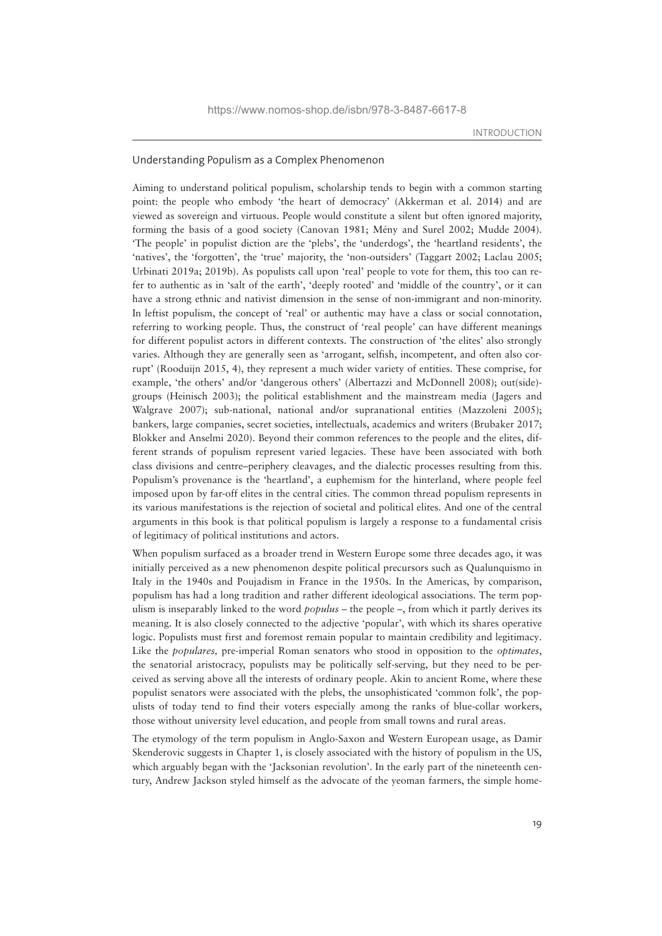#### Understanding Populism as a Complex Phenomenon

Aiming to understand political populism, scholarship tends to begin with a common starting point: the people who embody 'the heart of democracy' (Akkerman et al. 2014) and are viewed as sovereign and virtuous. People would constitute a silent but often ignored majority, forming the basis of a good society (Canovan 1981; Mény and Surel 2002; Mudde 2004). 'The people' in populist diction are the 'plebs', the 'underdogs', the 'heartland residents', the 'natives', the 'forgotten', the 'true' majority, the 'non-outsiders' (Taggart 2002; Laclau 2005; Urbinati 2019a; 2019b). As populists call upon 'real' people to vote for them, this too can refer to authentic as in 'salt of the earth', 'deeply rooted' and 'middle of the country', or it can have a strong ethnic and nativist dimension in the sense of non-immigrant and non-minority. In leftist populism, the concept of 'real' or authentic may have a class or social connotation, referring to working people. Thus, the construct of 'real people' can have different meanings for different populist actors in different contexts. The construction of 'the elites' also strongly varies. Although they are generally seen as 'arrogant, selfish, incompetent, and often also corrupt' (Rooduijn 2015, 4), they represent a much wider variety of entities. These comprise, for example, 'the others' and/or 'dangerous others' (Albertazzi and McDonnell 2008); out(side) groups (Heinisch 2003); the political establishment and the mainstream media (Jagers and Walgrave 2007); sub-national, national and/or supranational entities (Mazzoleni 2005); bankers, large companies, secret societies, intellectuals, academics and writers (Brubaker 2017; Blokker and Anselmi 2020). Beyond their common references to the people and the elites, different strands of populism represent varied legacies. These have been associated with both class divisions and centre–periphery cleavages, and the dialectic processes resulting from this. Populism's provenance is the 'heartland', a euphemism for the hinterland, where people feel imposed upon by far-off elites in the central cities. The common thread populism represents in its various manifestations is the rejection of societal and political elites. And one of the central arguments in this book is that political populism is largely a response to a fundamental crisis of legitimacy of political institutions and actors.

When populism surfaced as a broader trend in Western Europe some three decades ago, it was initially perceived as a new phenomenon despite political precursors such as Qualunquismo in Italy in the 1940s and Poujadism in France in the 1950s. In the Americas, by comparison, populism has had a long tradition and rather different ideological associations. The term populism is inseparably linked to the word *populus* – the people –, from which it partly derives its meaning. It is also closely connected to the adjective 'popular', with which its shares operative logic. Populists must first and foremost remain popular to maintain credibility and legitimacy. Like the *populares,* pre-imperial Roman senators who stood in opposition to the *optimates*, the senatorial aristocracy, populists may be politically self-serving, but they need to be perceived as serving above all the interests of ordinary people. Akin to ancient Rome, where these populist senators were associated with the plebs, the unsophisticated 'common folk', the populists of today tend to find their voters especially among the ranks of blue-collar workers, those without university level education, and people from small towns and rural areas.

The etymology of the term populism in Anglo-Saxon and Western European usage, as Damir Skenderovic suggests in Chapter 1, is closely associated with the history of populism in the US, which arguably began with the 'Jacksonian revolution'. In the early part of the nineteenth century, Andrew Jackson styled himself as the advocate of the yeoman farmers, the simple home-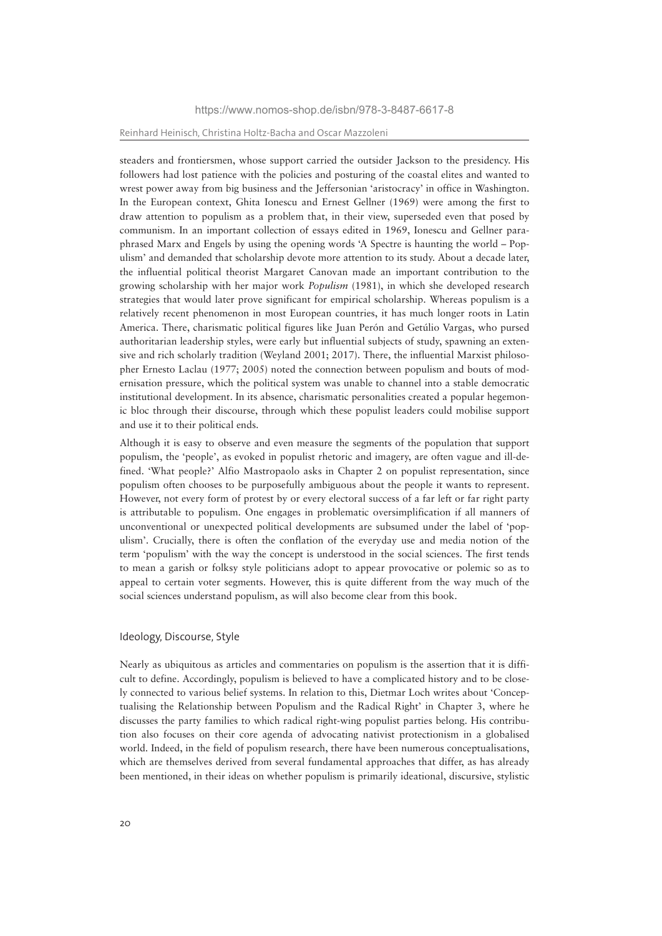#### Reinhard Heinisch, Christina Holtz-Bacha and Oscar Mazzoleni

steaders and frontiersmen, whose support carried the outsider Jackson to the presidency. His followers had lost patience with the policies and posturing of the coastal elites and wanted to wrest power away from big business and the Jeffersonian 'aristocracy' in office in Washington. In the European context, Ghita Ionescu and Ernest Gellner (1969) were among the first to draw attention to populism as a problem that, in their view, superseded even that posed by communism. In an important collection of essays edited in 1969, Ionescu and Gellner paraphrased Marx and Engels by using the opening words 'A Spectre is haunting the world – Populism' and demanded that scholarship devote more attention to its study. About a decade later, the influential political theorist Margaret Canovan made an important contribution to the growing scholarship with her major work *Populism* (1981), in which she developed research strategies that would later prove significant for empirical scholarship. Whereas populism is a relatively recent phenomenon in most European countries, it has much longer roots in Latin America. There, charismatic political figures like Juan Perón and Getúlio Vargas, who pursed authoritarian leadership styles, were early but influential subjects of study, spawning an extensive and rich scholarly tradition (Weyland 2001; 2017). There, the influential Marxist philosopher Ernesto Laclau (1977; 2005) noted the connection between populism and bouts of modernisation pressure, which the political system was unable to channel into a stable democratic institutional development. In its absence, charismatic personalities created a popular hegemonic bloc through their discourse, through which these populist leaders could mobilise support and use it to their political ends.

Although it is easy to observe and even measure the segments of the population that support populism, the 'people', as evoked in populist rhetoric and imagery, are often vague and ill-defined. 'What people?' Alfio Mastropaolo asks in Chapter 2 on populist representation, since populism often chooses to be purposefully ambiguous about the people it wants to represent. However, not every form of protest by or every electoral success of a far left or far right party is attributable to populism. One engages in problematic oversimplification if all manners of unconventional or unexpected political developments are subsumed under the label of 'populism'. Crucially, there is often the conflation of the everyday use and media notion of the term 'populism' with the way the concept is understood in the social sciences. The first tends to mean a garish or folksy style politicians adopt to appear provocative or polemic so as to appeal to certain voter segments. However, this is quite different from the way much of the social sciences understand populism, as will also become clear from this book.

#### Ideology, Discourse, Style

Nearly as ubiquitous as articles and commentaries on populism is the assertion that it is difficult to define. Accordingly, populism is believed to have a complicated history and to be closely connected to various belief systems. In relation to this, Dietmar Loch writes about 'Conceptualising the Relationship between Populism and the Radical Right' in Chapter 3, where he discusses the party families to which radical right-wing populist parties belong. His contribution also focuses on their core agenda of advocating nativist protectionism in a globalised world. Indeed, in the field of populism research, there have been numerous conceptualisations, which are themselves derived from several fundamental approaches that differ, as has already been mentioned, in their ideas on whether populism is primarily ideational, discursive, stylistic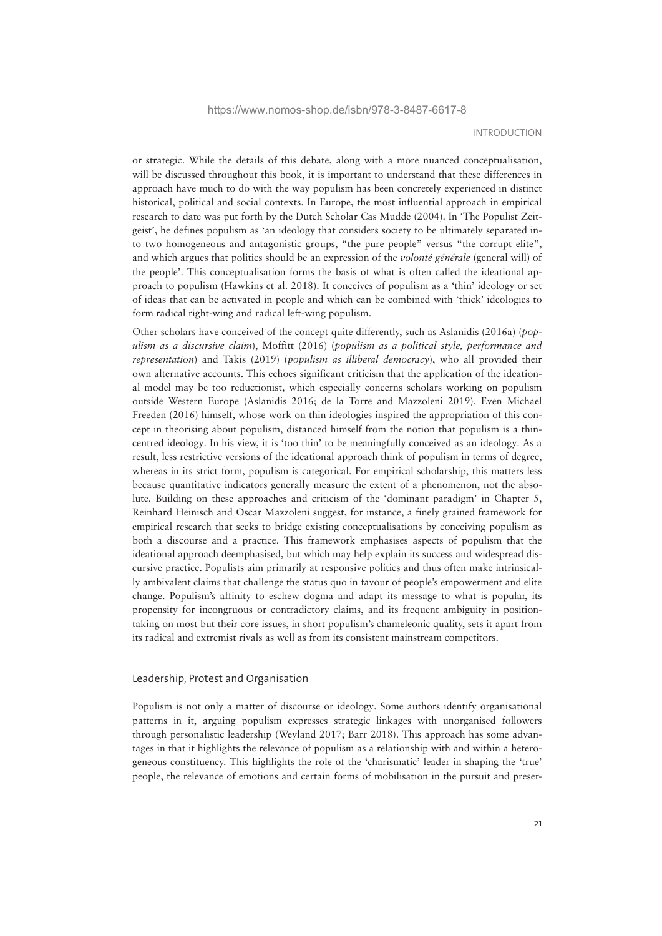or strategic. While the details of this debate, along with a more nuanced conceptualisation, will be discussed throughout this book, it is important to understand that these differences in approach have much to do with the way populism has been concretely experienced in distinct historical, political and social contexts. In Europe, the most influential approach in empirical research to date was put forth by the Dutch Scholar Cas Mudde (2004). In 'The Populist Zeitgeist', he defines populism as 'an ideology that considers society to be ultimately separated into two homogeneous and antagonistic groups, "the pure people" versus "the corrupt elite", and which argues that politics should be an expression of the *volonté générale* (general will) of the people'. This conceptualisation forms the basis of what is often called the ideational approach to populism (Hawkins et al. 2018). It conceives of populism as a 'thin' ideology or set of ideas that can be activated in people and which can be combined with 'thick' ideologies to form radical right-wing and radical left-wing populism.

Other scholars have conceived of the concept quite differently, such as Aslanidis (2016a) (*populism as a discursive claim*), Moffitt (2016) (*populism as a political style, performance and representation*) and Takis (2019) (*populism as illiberal democracy*), who all provided their own alternative accounts. This echoes significant criticism that the application of the ideational model may be too reductionist, which especially concerns scholars working on populism outside Western Europe (Aslanidis 2016; de la Torre and Mazzoleni 2019). Even Michael Freeden (2016) himself, whose work on thin ideologies inspired the appropriation of this concept in theorising about populism, distanced himself from the notion that populism is a thincentred ideology. In his view, it is 'too thin' to be meaningfully conceived as an ideology. As a result, less restrictive versions of the ideational approach think of populism in terms of degree, whereas in its strict form, populism is categorical. For empirical scholarship, this matters less because quantitative indicators generally measure the extent of a phenomenon, not the absolute. Building on these approaches and criticism of the 'dominant paradigm' in Chapter 5, Reinhard Heinisch and Oscar Mazzoleni suggest, for instance, a finely grained framework for empirical research that seeks to bridge existing conceptualisations by conceiving populism as both a discourse and a practice. This framework emphasises aspects of populism that the ideational approach deemphasised, but which may help explain its success and widespread discursive practice. Populists aim primarily at responsive politics and thus often make intrinsically ambivalent claims that challenge the status quo in favour of people's empowerment and elite change. Populism's affinity to eschew dogma and adapt its message to what is popular, its propensity for incongruous or contradictory claims, and its frequent ambiguity in positiontaking on most but their core issues, in short populism's chameleonic quality, sets it apart from its radical and extremist rivals as well as from its consistent mainstream competitors.

#### Leadership, Protest and Organisation

Populism is not only a matter of discourse or ideology. Some authors identify organisational patterns in it, arguing populism expresses strategic linkages with unorganised followers through personalistic leadership (Weyland 2017; Barr 2018). This approach has some advantages in that it highlights the relevance of populism as a relationship with and within a heterogeneous constituency. This highlights the role of the 'charismatic' leader in shaping the 'true' people, the relevance of emotions and certain forms of mobilisation in the pursuit and preser-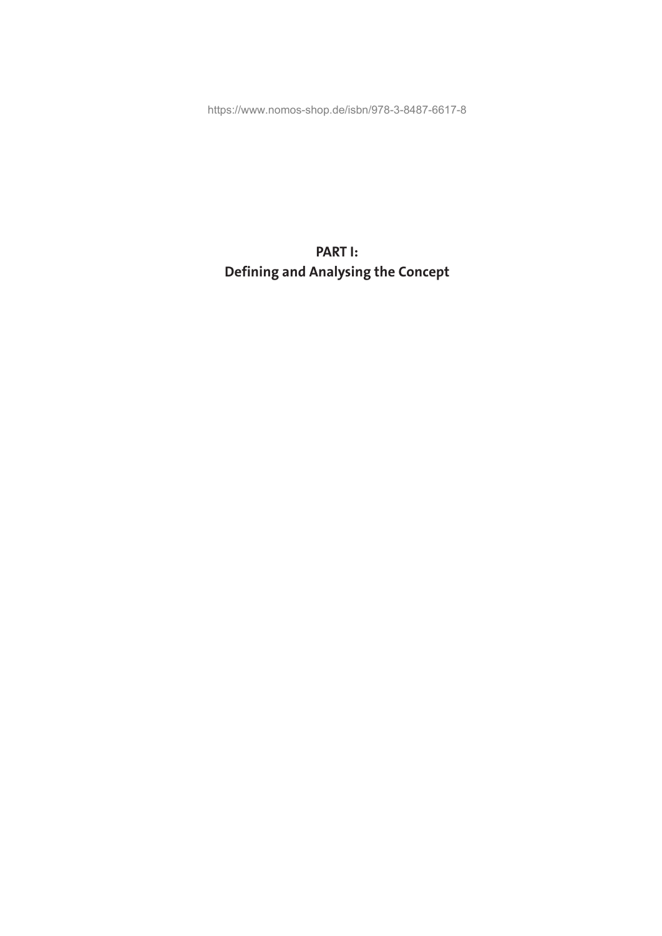# **PART I: Defining and Analysing the Concept**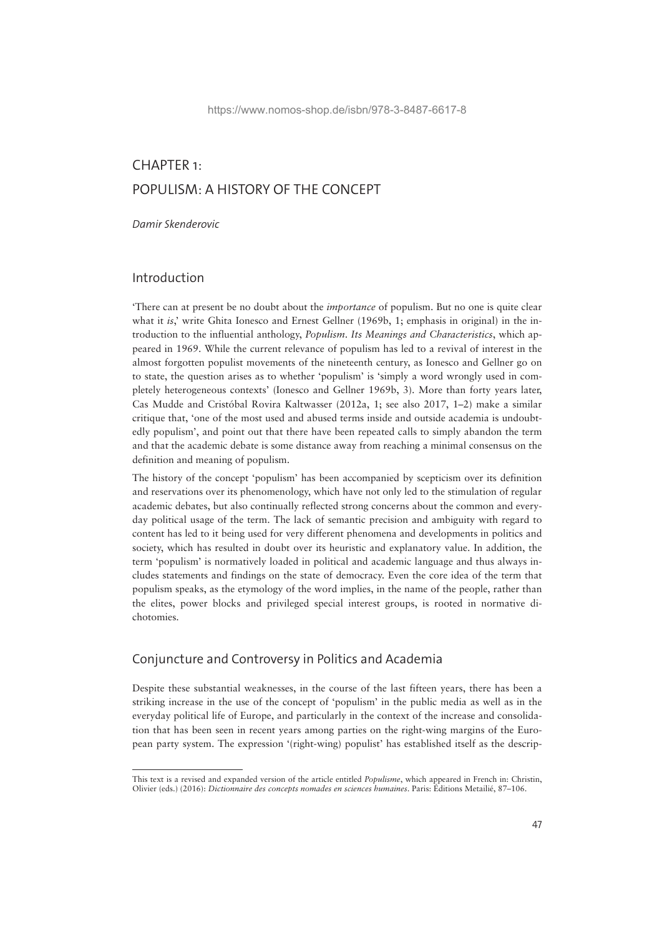# CHAPTER 1: POPULISM: A HISTORY OF THE CONCEPT

*Damir Skenderovic*

## Introduction

'There can at present be no doubt about the *importance* of populism. But no one is quite clear what it *is*,' write Ghita Ionesco and Ernest Gellner (1969b, 1; emphasis in original) in the introduction to the influential anthology, *Populism*. *Its Meanings and Characteristics*, which appeared in 1969. While the current relevance of populism has led to a revival of interest in the almost forgotten populist movements of the nineteenth century, as Ionesco and Gellner go on to state, the question arises as to whether 'populism' is 'simply a word wrongly used in completely heterogeneous contexts' (Ionesco and Gellner 1969b, 3). More than forty years later, Cas Mudde and Cristóbal Rovira Kaltwasser (2012a, 1; see also 2017, 1–2) make a similar critique that, 'one of the most used and abused terms inside and outside academia is undoubtedly populism', and point out that there have been repeated calls to simply abandon the term and that the academic debate is some distance away from reaching a minimal consensus on the definition and meaning of populism.

The history of the concept 'populism' has been accompanied by scepticism over its definition and reservations over its phenomenology, which have not only led to the stimulation of regular academic debates, but also continually reflected strong concerns about the common and everyday political usage of the term. The lack of semantic precision and ambiguity with regard to content has led to it being used for very different phenomena and developments in politics and society, which has resulted in doubt over its heuristic and explanatory value. In addition, the term 'populism' is normatively loaded in political and academic language and thus always includes statements and findings on the state of democracy. Even the core idea of the term that populism speaks, as the etymology of the word implies, in the name of the people, rather than the elites, power blocks and privileged special interest groups, is rooted in normative dichotomies.

## Conjuncture and Controversy in Politics and Academia

Despite these substantial weaknesses, in the course of the last fifteen years, there has been a striking increase in the use of the concept of 'populism' in the public media as well as in the everyday political life of Europe, and particularly in the context of the increase and consolidation that has been seen in recent years among parties on the right-wing margins of the European party system. The expression '(right-wing) populist' has established itself as the descrip-

This text is a revised and expanded version of the article entitled *Populisme*, which appeared in French in: Christin, Olivier (eds.) (2016): *Dictionnaire des concepts nomades en sciences humaines*. Paris: Éditions Metailié, 87–106.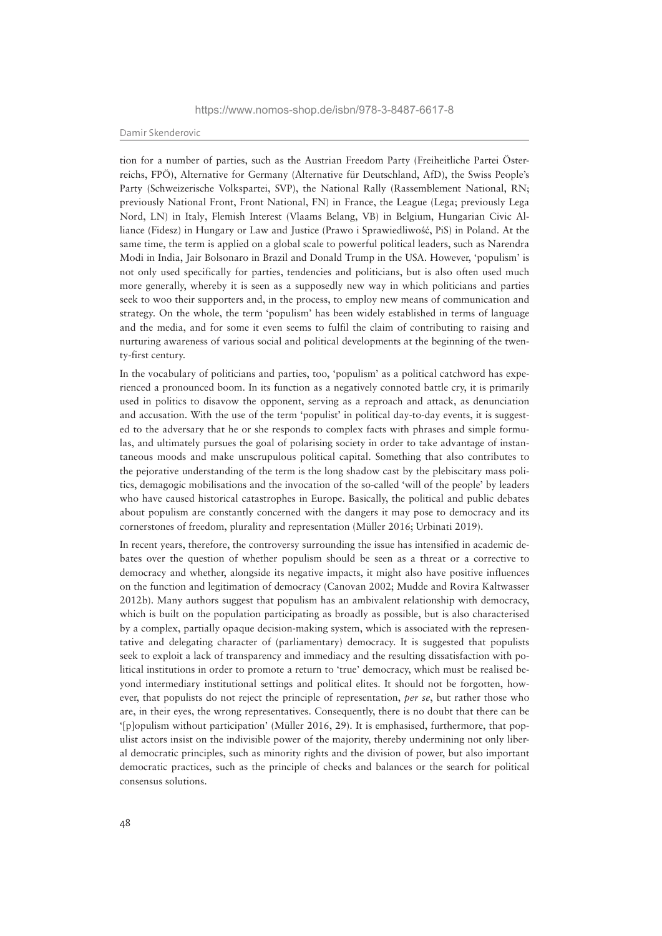#### Damir Skenderovic

tion for a number of parties, such as the Austrian Freedom Party (Freiheitliche Partei Österreichs, FPÖ), Alternative for Germany (Alternative für Deutschland, AfD), the Swiss People's Party (Schweizerische Volkspartei, SVP), the National Rally (Rassemblement National, RN; previously National Front, Front National, FN) in France, the League (Lega; previously Lega Nord, LN) in Italy, Flemish Interest (Vlaams Belang, VB) in Belgium, Hungarian Civic Alliance (Fidesz) in Hungary or Law and Justice (Prawo i Sprawiedliwość, PiS) in Poland. At the same time, the term is applied on a global scale to powerful political leaders, such as Narendra Modi in India, Jair Bolsonaro in Brazil and Donald Trump in the USA. However, 'populism' is not only used specifically for parties, tendencies and politicians, but is also often used much more generally, whereby it is seen as a supposedly new way in which politicians and parties seek to woo their supporters and, in the process, to employ new means of communication and strategy. On the whole, the term 'populism' has been widely established in terms of language and the media, and for some it even seems to fulfil the claim of contributing to raising and nurturing awareness of various social and political developments at the beginning of the twenty-first century.

In the vocabulary of politicians and parties, too, 'populism' as a political catchword has experienced a pronounced boom. In its function as a negatively connoted battle cry, it is primarily used in politics to disavow the opponent, serving as a reproach and attack, as denunciation and accusation. With the use of the term 'populist' in political day-to-day events, it is suggested to the adversary that he or she responds to complex facts with phrases and simple formulas, and ultimately pursues the goal of polarising society in order to take advantage of instantaneous moods and make unscrupulous political capital. Something that also contributes to the pejorative understanding of the term is the long shadow cast by the plebiscitary mass politics, demagogic mobilisations and the invocation of the so-called 'will of the people' by leaders who have caused historical catastrophes in Europe. Basically, the political and public debates about populism are constantly concerned with the dangers it may pose to democracy and its cornerstones of freedom, plurality and representation (Müller 2016; Urbinati 2019).

In recent years, therefore, the controversy surrounding the issue has intensified in academic debates over the question of whether populism should be seen as a threat or a corrective to democracy and whether, alongside its negative impacts, it might also have positive influences on the function and legitimation of democracy (Canovan 2002; Mudde and Rovira Kaltwasser 2012b). Many authors suggest that populism has an ambivalent relationship with democracy, which is built on the population participating as broadly as possible, but is also characterised by a complex, partially opaque decision-making system, which is associated with the representative and delegating character of (parliamentary) democracy. It is suggested that populists seek to exploit a lack of transparency and immediacy and the resulting dissatisfaction with political institutions in order to promote a return to 'true' democracy, which must be realised beyond intermediary institutional settings and political elites. It should not be forgotten, however, that populists do not reject the principle of representation, *per se*, but rather those who are, in their eyes, the wrong representatives. Consequently, there is no doubt that there can be '[p]opulism without participation' (Müller 2016, 29). It is emphasised, furthermore, that populist actors insist on the indivisible power of the majority, thereby undermining not only liberal democratic principles, such as minority rights and the division of power, but also important democratic practices, such as the principle of checks and balances or the search for political consensus solutions.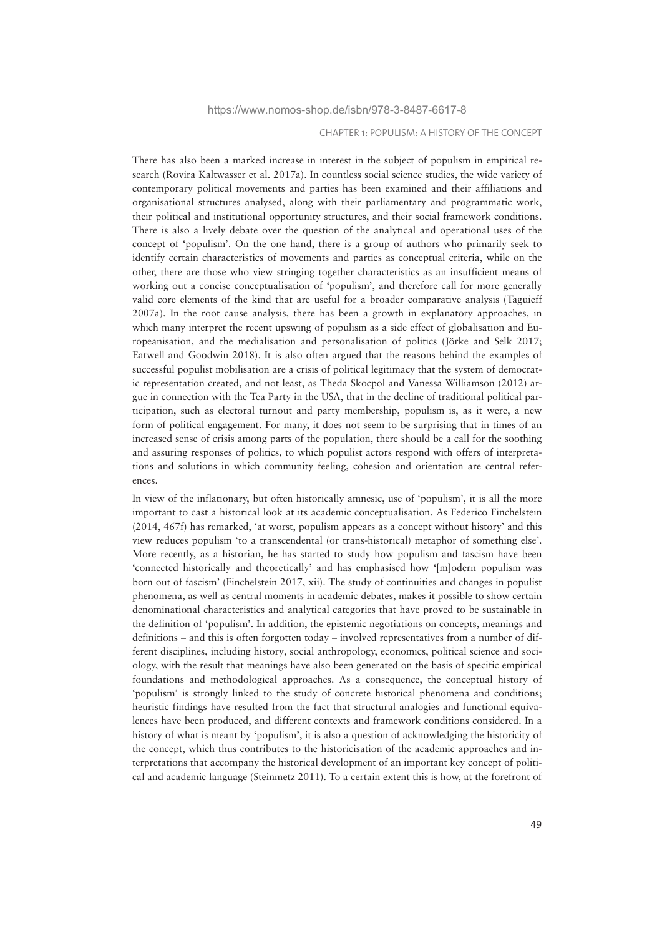#### CHAPTER 1: POPULISM: A HISTORY OF THE CONCEPT

There has also been a marked increase in interest in the subject of populism in empirical research (Rovira Kaltwasser et al. 2017a). In countless social science studies, the wide variety of contemporary political movements and parties has been examined and their affiliations and organisational structures analysed, along with their parliamentary and programmatic work, their political and institutional opportunity structures, and their social framework conditions. There is also a lively debate over the question of the analytical and operational uses of the concept of 'populism'. On the one hand, there is a group of authors who primarily seek to identify certain characteristics of movements and parties as conceptual criteria, while on the other, there are those who view stringing together characteristics as an insufficient means of working out a concise conceptualisation of 'populism', and therefore call for more generally valid core elements of the kind that are useful for a broader comparative analysis (Taguieff 2007a). In the root cause analysis, there has been a growth in explanatory approaches, in which many interpret the recent upswing of populism as a side effect of globalisation and Europeanisation, and the medialisation and personalisation of politics (Jörke and Selk 2017; Eatwell and Goodwin 2018). It is also often argued that the reasons behind the examples of successful populist mobilisation are a crisis of political legitimacy that the system of democratic representation created, and not least, as Theda Skocpol and Vanessa Williamson (2012) argue in connection with the Tea Party in the USA, that in the decline of traditional political participation, such as electoral turnout and party membership, populism is, as it were, a new form of political engagement. For many, it does not seem to be surprising that in times of an increased sense of crisis among parts of the population, there should be a call for the soothing and assuring responses of politics, to which populist actors respond with offers of interpretations and solutions in which community feeling, cohesion and orientation are central references.

In view of the inflationary, but often historically amnesic, use of 'populism', it is all the more important to cast a historical look at its academic conceptualisation. As Federico Finchelstein (2014, 467f) has remarked, 'at worst, populism appears as a concept without history' and this view reduces populism 'to a transcendental (or trans-historical) metaphor of something else'. More recently, as a historian, he has started to study how populism and fascism have been 'connected historically and theoretically' and has emphasised how '[m]odern populism was born out of fascism' (Finchelstein 2017, xii). The study of continuities and changes in populist phenomena, as well as central moments in academic debates, makes it possible to show certain denominational characteristics and analytical categories that have proved to be sustainable in the definition of 'populism'. In addition, the epistemic negotiations on concepts, meanings and definitions – and this is often forgotten today – involved representatives from a number of different disciplines, including history, social anthropology, economics, political science and sociology, with the result that meanings have also been generated on the basis of specific empirical foundations and methodological approaches. As a consequence, the conceptual history of 'populism' is strongly linked to the study of concrete historical phenomena and conditions; heuristic findings have resulted from the fact that structural analogies and functional equivalences have been produced, and different contexts and framework conditions considered. In a history of what is meant by 'populism', it is also a question of acknowledging the historicity of the concept, which thus contributes to the historicisation of the academic approaches and interpretations that accompany the historical development of an important key concept of political and academic language (Steinmetz 2011). To a certain extent this is how, at the forefront of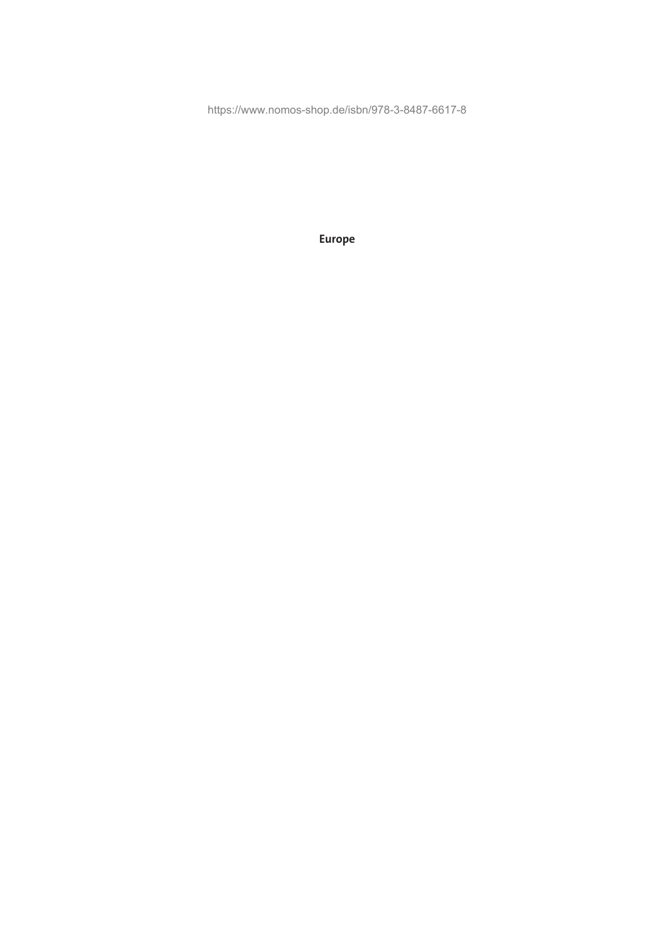https://www.nomos-shop.de/isbn/978-3-8487-6617-8

**Europe**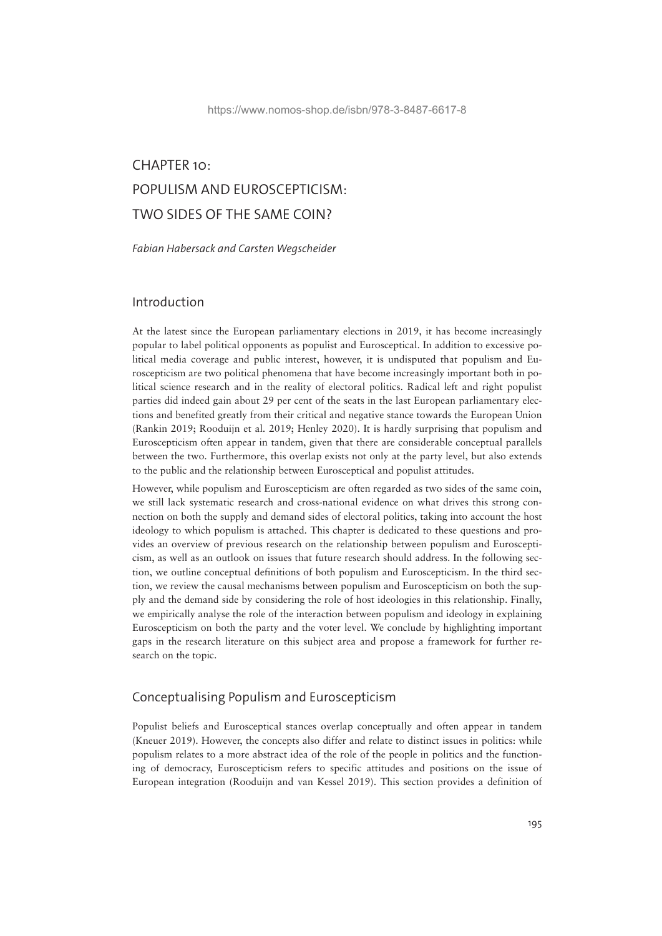# CHAPTER 10: POPULISM AND EUROSCEPTICISM: TWO SIDES OF THE SAME COIN?

*Fabian Habersack and Carsten Wegscheider*

## Introduction

At the latest since the European parliamentary elections in 2019, it has become increasingly popular to label political opponents as populist and Eurosceptical. In addition to excessive political media coverage and public interest, however, it is undisputed that populism and Euroscepticism are two political phenomena that have become increasingly important both in political science research and in the reality of electoral politics. Radical left and right populist parties did indeed gain about 29 per cent of the seats in the last European parliamentary elections and benefited greatly from their critical and negative stance towards the European Union (Rankin 2019; Rooduijn et al. 2019; Henley 2020). It is hardly surprising that populism and Euroscepticism often appear in tandem, given that there are considerable conceptual parallels between the two. Furthermore, this overlap exists not only at the party level, but also extends to the public and the relationship between Eurosceptical and populist attitudes.

However, while populism and Euroscepticism are often regarded as two sides of the same coin, we still lack systematic research and cross-national evidence on what drives this strong connection on both the supply and demand sides of electoral politics, taking into account the host ideology to which populism is attached. This chapter is dedicated to these questions and provides an overview of previous research on the relationship between populism and Euroscepticism, as well as an outlook on issues that future research should address. In the following section, we outline conceptual definitions of both populism and Euroscepticism. In the third section, we review the causal mechanisms between populism and Euroscepticism on both the supply and the demand side by considering the role of host ideologies in this relationship. Finally, we empirically analyse the role of the interaction between populism and ideology in explaining Euroscepticism on both the party and the voter level. We conclude by highlighting important gaps in the research literature on this subject area and propose a framework for further research on the topic.

## Conceptualising Populism and Euroscepticism

Populist beliefs and Eurosceptical stances overlap conceptually and often appear in tandem (Kneuer 2019). However, the concepts also differ and relate to distinct issues in politics: while populism relates to a more abstract idea of the role of the people in politics and the functioning of democracy, Euroscepticism refers to specific attitudes and positions on the issue of European integration (Rooduijn and van Kessel 2019). This section provides a definition of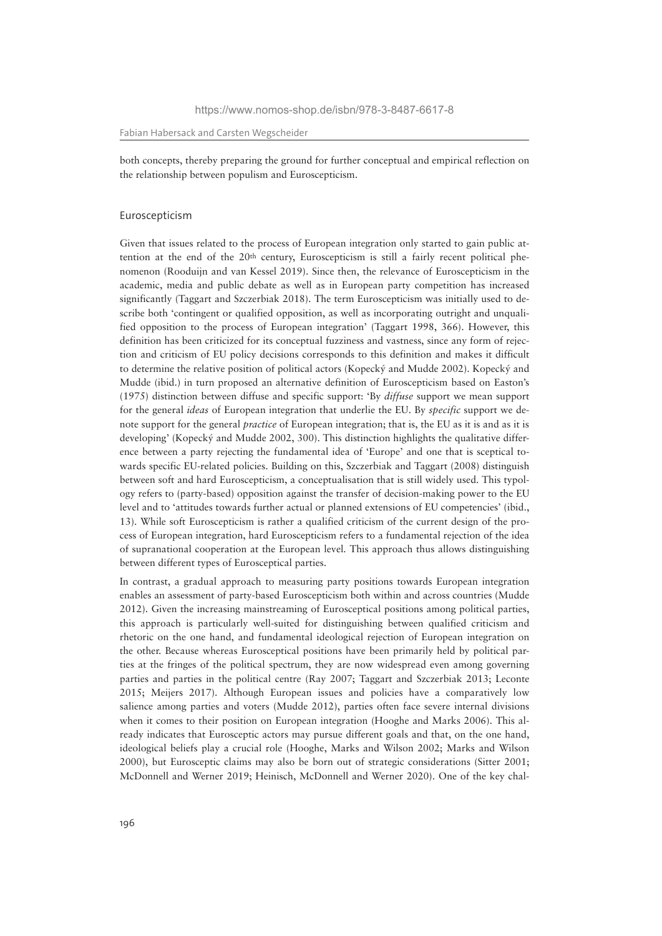#### Fabian Habersack and Carsten Wegscheider

both concepts, thereby preparing the ground for further conceptual and empirical reflection on the relationship between populism and Euroscepticism.

#### Euroscepticism

Given that issues related to the process of European integration only started to gain public attention at the end of the 20th century, Euroscepticism is still a fairly recent political phenomenon (Rooduijn and van Kessel 2019). Since then, the relevance of Euroscepticism in the academic, media and public debate as well as in European party competition has increased significantly (Taggart and Szczerbiak 2018). The term Euroscepticism was initially used to describe both 'contingent or qualified opposition, as well as incorporating outright and unqualified opposition to the process of European integration' (Taggart 1998, 366). However, this definition has been criticized for its conceptual fuzziness and vastness, since any form of rejection and criticism of EU policy decisions corresponds to this definition and makes it difficult to determine the relative position of political actors (Kopecký and Mudde 2002). Kopecký and Mudde (ibid.) in turn proposed an alternative definition of Euroscepticism based on Easton's (1975) distinction between diffuse and specific support: 'By *diffuse* support we mean support for the general *ideas* of European integration that underlie the EU. By *specific* support we denote support for the general *practice* of European integration; that is, the EU as it is and as it is developing' (Kopecký and Mudde 2002, 300). This distinction highlights the qualitative difference between a party rejecting the fundamental idea of 'Europe' and one that is sceptical towards specific EU-related policies. Building on this, Szczerbiak and Taggart (2008) distinguish between soft and hard Euroscepticism, a conceptualisation that is still widely used. This typology refers to (party-based) opposition against the transfer of decision-making power to the EU level and to 'attitudes towards further actual or planned extensions of EU competencies' (ibid., 13). While soft Euroscepticism is rather a qualified criticism of the current design of the process of European integration, hard Euroscepticism refers to a fundamental rejection of the idea of supranational cooperation at the European level*.* This approach thus allows distinguishing between different types of Eurosceptical parties.

In contrast, a gradual approach to measuring party positions towards European integration enables an assessment of party-based Euroscepticism both within and across countries (Mudde 2012). Given the increasing mainstreaming of Eurosceptical positions among political parties, this approach is particularly well-suited for distinguishing between qualified criticism and rhetoric on the one hand, and fundamental ideological rejection of European integration on the other. Because whereas Eurosceptical positions have been primarily held by political parties at the fringes of the political spectrum, they are now widespread even among governing parties and parties in the political centre (Ray 2007; Taggart and Szczerbiak 2013; Leconte 2015; Meijers 2017). Although European issues and policies have a comparatively low salience among parties and voters (Mudde 2012), parties often face severe internal divisions when it comes to their position on European integration (Hooghe and Marks 2006). This already indicates that Eurosceptic actors may pursue different goals and that, on the one hand, ideological beliefs play a crucial role (Hooghe, Marks and Wilson 2002; Marks and Wilson 2000), but Eurosceptic claims may also be born out of strategic considerations (Sitter 2001; McDonnell and Werner 2019; Heinisch, McDonnell and Werner 2020). One of the key chal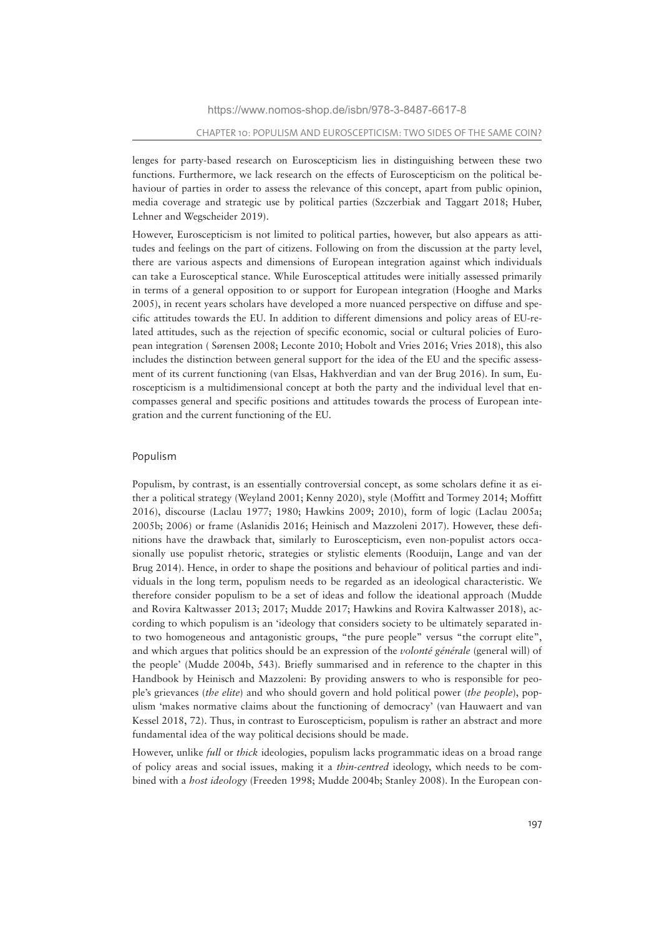lenges for party-based research on Euroscepticism lies in distinguishing between these two functions. Furthermore, we lack research on the effects of Euroscepticism on the political behaviour of parties in order to assess the relevance of this concept, apart from public opinion, media coverage and strategic use by political parties (Szczerbiak and Taggart 2018; Huber, Lehner and Wegscheider 2019).

However, Euroscepticism is not limited to political parties, however, but also appears as attitudes and feelings on the part of citizens. Following on from the discussion at the party level, there are various aspects and dimensions of European integration against which individuals can take a Eurosceptical stance. While Eurosceptical attitudes were initially assessed primarily in terms of a general opposition to or support for European integration (Hooghe and Marks 2005), in recent years scholars have developed a more nuanced perspective on diffuse and specific attitudes towards the EU. In addition to different dimensions and policy areas of EU-related attitudes, such as the rejection of specific economic, social or cultural policies of European integration ( Sørensen 2008; Leconte 2010; Hobolt and Vries 2016; Vries 2018), this also includes the distinction between general support for the idea of the EU and the specific assessment of its current functioning (van Elsas, Hakhverdian and van der Brug 2016). In sum, Euroscepticism is a multidimensional concept at both the party and the individual level that encompasses general and specific positions and attitudes towards the process of European integration and the current functioning of the EU.

### Populism

Populism, by contrast, is an essentially controversial concept, as some scholars define it as either a political strategy (Weyland 2001; Kenny 2020), style (Moffitt and Tormey 2014; Moffitt 2016), discourse (Laclau 1977; 1980; Hawkins 2009; 2010), form of logic (Laclau 2005a; 2005b; 2006) or frame (Aslanidis 2016; Heinisch and Mazzoleni 2017). However, these definitions have the drawback that, similarly to Euroscepticism, even non-populist actors occasionally use populist rhetoric, strategies or stylistic elements (Rooduijn, Lange and van der Brug 2014). Hence, in order to shape the positions and behaviour of political parties and individuals in the long term, populism needs to be regarded as an ideological characteristic. We therefore consider populism to be a set of ideas and follow the ideational approach (Mudde and Rovira Kaltwasser 2013; 2017; Mudde 2017; Hawkins and Rovira Kaltwasser 2018), according to which populism is an 'ideology that considers society to be ultimately separated into two homogeneous and antagonistic groups, "the pure people" versus "the corrupt elite", and which argues that politics should be an expression of the *volonté générale* (general will) of the people' (Mudde 2004b, 543). Briefly summarised and in reference to the chapter in this Handbook by Heinisch and Mazzoleni: By providing answers to who is responsible for people's grievances (*the elite*) and who should govern and hold political power (*the people*), populism 'makes normative claims about the functioning of democracy' (van Hauwaert and van Kessel 2018, 72). Thus, in contrast to Euroscepticism, populism is rather an abstract and more fundamental idea of the way political decisions should be made.

However, unlike *full* or *thick* ideologies, populism lacks programmatic ideas on a broad range of policy areas and social issues, making it a *thin-centred* ideology, which needs to be combined with a *host ideology* (Freeden 1998; Mudde 2004b; Stanley 2008). In the European con-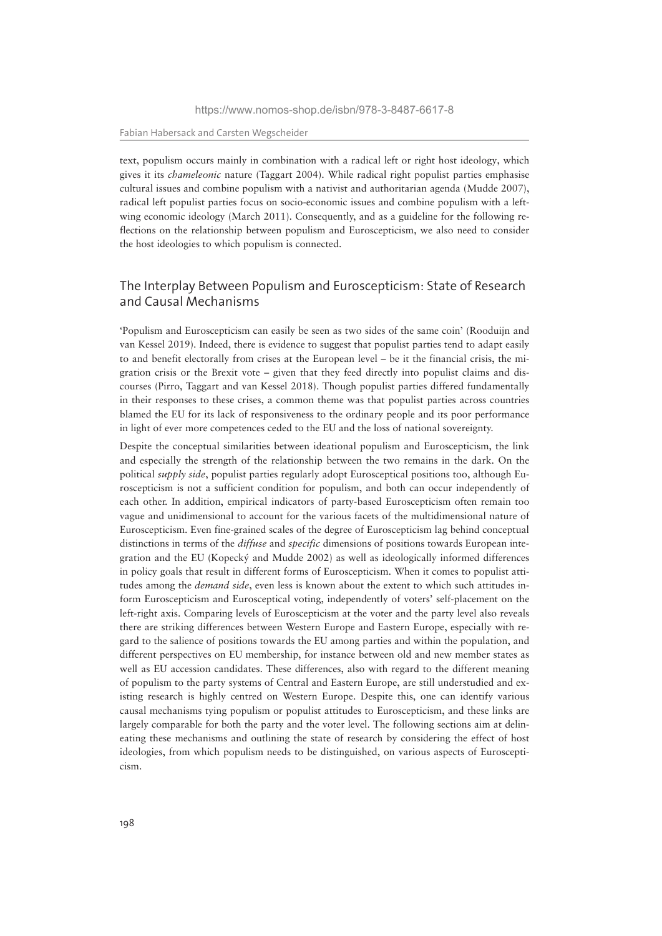#### Fabian Habersack and Carsten Wegscheider

text, populism occurs mainly in combination with a radical left or right host ideology, which gives it its *chameleonic* nature (Taggart 2004). While radical right populist parties emphasise cultural issues and combine populism with a nativist and authoritarian agenda (Mudde 2007), radical left populist parties focus on socio-economic issues and combine populism with a leftwing economic ideology (March 2011). Consequently, and as a guideline for the following reflections on the relationship between populism and Euroscepticism, we also need to consider the host ideologies to which populism is connected.

## The Interplay Between Populism and Euroscepticism: State of Research and Causal Mechanisms

'Populism and Euroscepticism can easily be seen as two sides of the same coin' (Rooduijn and van Kessel 2019). Indeed, there is evidence to suggest that populist parties tend to adapt easily to and benefit electorally from crises at the European level – be it the financial crisis, the migration crisis or the Brexit vote – given that they feed directly into populist claims and discourses (Pirro, Taggart and van Kessel 2018). Though populist parties differed fundamentally in their responses to these crises, a common theme was that populist parties across countries blamed the EU for its lack of responsiveness to the ordinary people and its poor performance in light of ever more competences ceded to the EU and the loss of national sovereignty.

Despite the conceptual similarities between ideational populism and Euroscepticism, the link and especially the strength of the relationship between the two remains in the dark. On the political *supply side*, populist parties regularly adopt Eurosceptical positions too, although Euroscepticism is not a sufficient condition for populism, and both can occur independently of each other. In addition, empirical indicators of party-based Euroscepticism often remain too vague and unidimensional to account for the various facets of the multidimensional nature of Euroscepticism. Even fine-grained scales of the degree of Euroscepticism lag behind conceptual distinctions in terms of the *diffuse* and *specific* dimensions of positions towards European integration and the EU (Kopecký and Mudde 2002) as well as ideologically informed differences in policy goals that result in different forms of Euroscepticism. When it comes to populist attitudes among the *demand side*, even less is known about the extent to which such attitudes inform Euroscepticism and Eurosceptical voting, independently of voters' self-placement on the left-right axis. Comparing levels of Euroscepticism at the voter and the party level also reveals there are striking differences between Western Europe and Eastern Europe, especially with regard to the salience of positions towards the EU among parties and within the population, and different perspectives on EU membership, for instance between old and new member states as well as EU accession candidates. These differences, also with regard to the different meaning of populism to the party systems of Central and Eastern Europe, are still understudied and existing research is highly centred on Western Europe. Despite this, one can identify various causal mechanisms tying populism or populist attitudes to Euroscepticism, and these links are largely comparable for both the party and the voter level. The following sections aim at delineating these mechanisms and outlining the state of research by considering the effect of host ideologies, from which populism needs to be distinguished, on various aspects of Euroscepticism.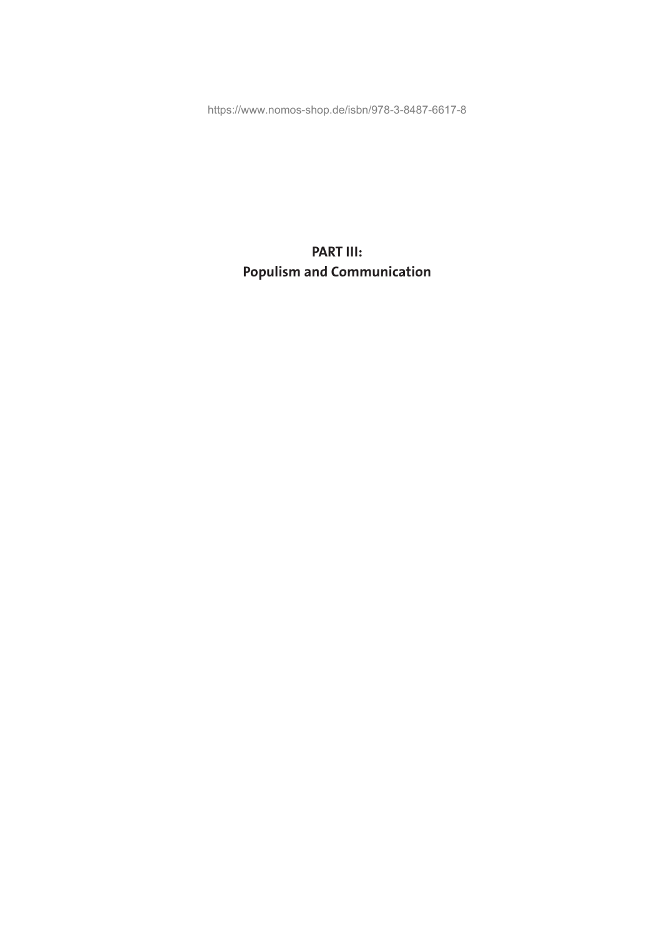## **PART III: Populism and Communication**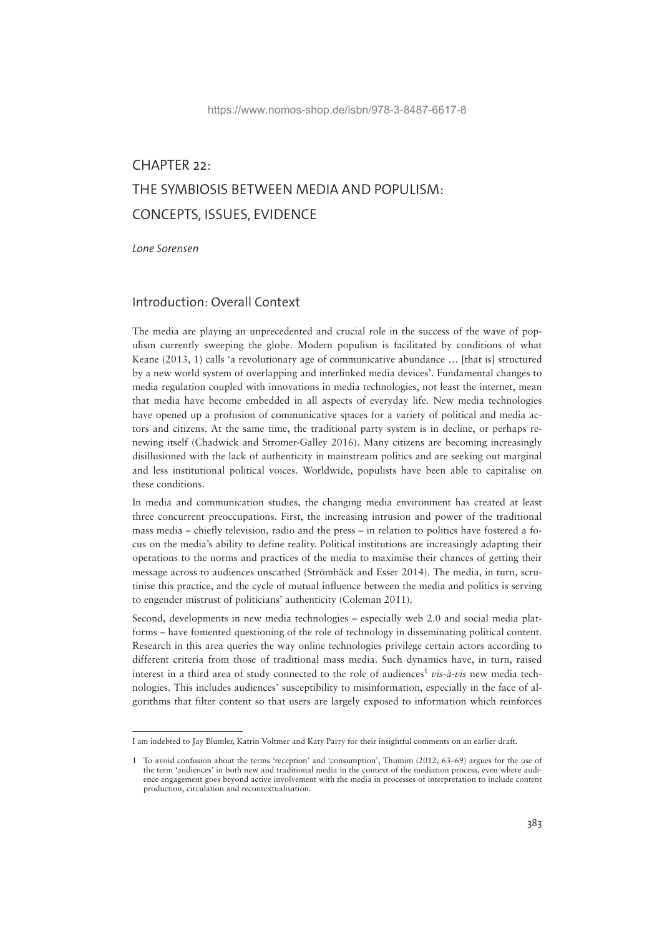# CHAPTER 22: THE SYMBIOSIS BETWEEN MEDIA AND POPULISM: CONCEPTS, ISSUES, EVIDENCE

*Lone Sorensen*

## Introduction: Overall Context

The media are playing an unprecedented and crucial role in the success of the wave of populism currently sweeping the globe. Modern populism is facilitated by conditions of what Keane (2013, 1) calls 'a revolutionary age of communicative abundance … [that is] structured by a new world system of overlapping and interlinked media devices'. Fundamental changes to media regulation coupled with innovations in media technologies, not least the internet, mean that media have become embedded in all aspects of everyday life. New media technologies have opened up a profusion of communicative spaces for a variety of political and media actors and citizens. At the same time, the traditional party system is in decline, or perhaps renewing itself (Chadwick and Stromer-Galley 2016). Many citizens are becoming increasingly disillusioned with the lack of authenticity in mainstream politics and are seeking out marginal and less institutional political voices. Worldwide, populists have been able to capitalise on these conditions.

In media and communication studies, the changing media environment has created at least three concurrent preoccupations. First, the increasing intrusion and power of the traditional mass media – chiefly television, radio and the press – in relation to politics have fostered a focus on the media's ability to define reality. Political institutions are increasingly adapting their operations to the norms and practices of the media to maximise their chances of getting their message across to audiences unscathed (Strömbäck and Esser 2014). The media, in turn, scrutinise this practice, and the cycle of mutual influence between the media and politics is serving to engender mistrust of politicians' authenticity (Coleman 2011).

Second, developments in new media technologies – especially web 2.0 and social media platforms – have fomented questioning of the role of technology in disseminating political content. Research in this area queries the way online technologies privilege certain actors according to different criteria from those of traditional mass media. Such dynamics have, in turn, raised interest in a third area of study connected to the role of audiences<sup>1</sup>  $vis-\tilde{a}-vis$  new media technologies. This includes audiences' susceptibility to misinformation, especially in the face of algorithms that filter content so that users are largely exposed to information which reinforces

I am indebted to Jay Blumler, Katrin Voltmer and Katy Parry for their insightful comments on an earlier draft.

<sup>1</sup> To avoid confusion about the terms 'reception' and 'consumption', Thumim (2012, 63–69) argues for the use of the term 'audiences' in both new and traditional media in the context of the mediation process, even where audience engagement goes beyond active involvement with the media in processes of interpretation to include content production, circulation and recontextualisation.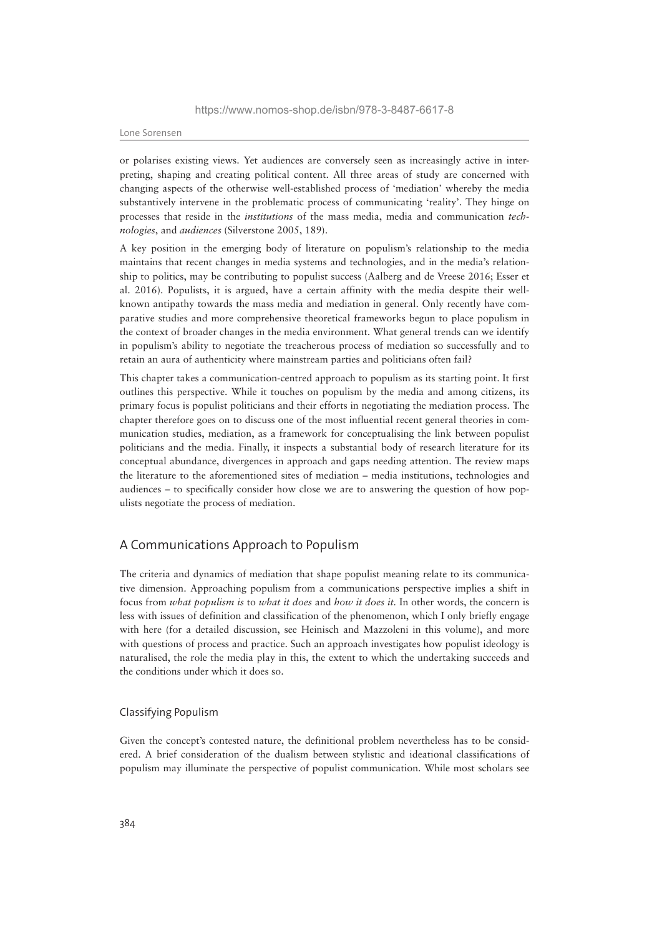Lone Sorensen

or polarises existing views. Yet audiences are conversely seen as increasingly active in interpreting, shaping and creating political content. All three areas of study are concerned with changing aspects of the otherwise well-established process of 'mediation' whereby the media substantively intervene in the problematic process of communicating 'reality'. They hinge on processes that reside in the *institutions* of the mass media, media and communication *technologies*, and *audiences* (Silverstone 2005, 189).

A key position in the emerging body of literature on populism's relationship to the media maintains that recent changes in media systems and technologies, and in the media's relationship to politics, may be contributing to populist success (Aalberg and de Vreese 2016; Esser et al. 2016). Populists, it is argued, have a certain affinity with the media despite their wellknown antipathy towards the mass media and mediation in general. Only recently have comparative studies and more comprehensive theoretical frameworks begun to place populism in the context of broader changes in the media environment. What general trends can we identify in populism's ability to negotiate the treacherous process of mediation so successfully and to retain an aura of authenticity where mainstream parties and politicians often fail?

This chapter takes a communication-centred approach to populism as its starting point. It first outlines this perspective. While it touches on populism by the media and among citizens, its primary focus is populist politicians and their efforts in negotiating the mediation process. The chapter therefore goes on to discuss one of the most influential recent general theories in communication studies, mediation, as a framework for conceptualising the link between populist politicians and the media. Finally, it inspects a substantial body of research literature for its conceptual abundance, divergences in approach and gaps needing attention. The review maps the literature to the aforementioned sites of mediation – media institutions, technologies and audiences – to specifically consider how close we are to answering the question of how populists negotiate the process of mediation.

## A Communications Approach to Populism

The criteria and dynamics of mediation that shape populist meaning relate to its communicative dimension. Approaching populism from a communications perspective implies a shift in focus from *what populism is* to *what it does* and *how it does it.* In other words, the concern is less with issues of definition and classification of the phenomenon, which I only briefly engage with here (for a detailed discussion, see Heinisch and Mazzoleni in this volume), and more with questions of process and practice. Such an approach investigates how populist ideology is naturalised, the role the media play in this, the extent to which the undertaking succeeds and the conditions under which it does so.

## Classifying Populism

Given the concept's contested nature, the definitional problem nevertheless has to be considered. A brief consideration of the dualism between stylistic and ideational classifications of populism may illuminate the perspective of populist communication. While most scholars see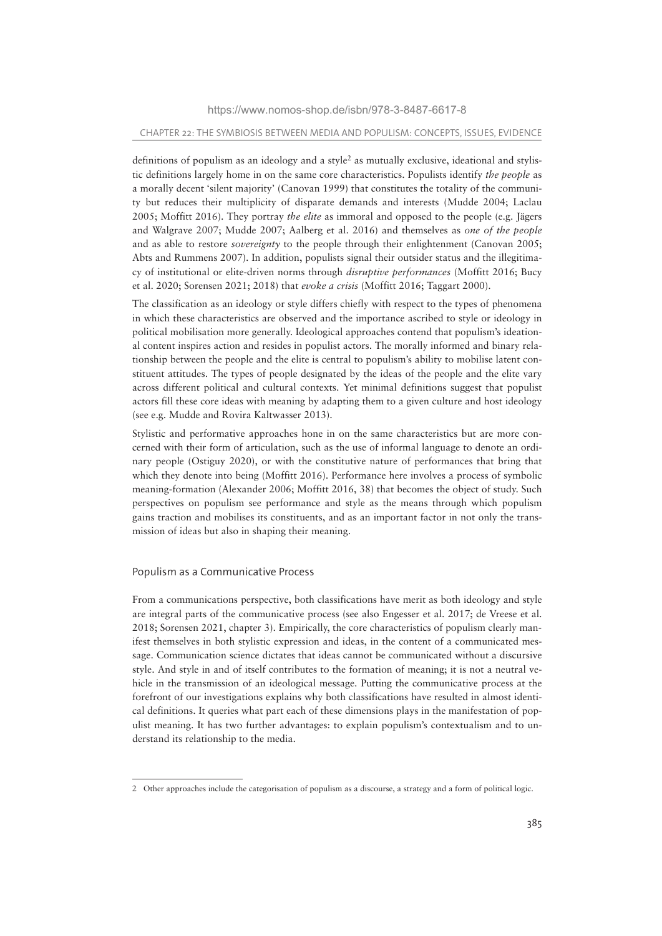definitions of populism as an ideology and a style<sup>2</sup> as mutually exclusive, ideational and stylistic definitions largely home in on the same core characteristics. Populists identify *the people* as a morally decent 'silent majority' (Canovan 1999) that constitutes the totality of the community but reduces their multiplicity of disparate demands and interests (Mudde 2004; Laclau 2005; Moffitt 2016). They portray *the elite* as immoral and opposed to the people (e.g. Jӓgers and Walgrave 2007; Mudde 2007; Aalberg et al. 2016) and themselves as *one of the people* and as able to restore *sovereignty* to the people through their enlightenment (Canovan 2005; Abts and Rummens 2007). In addition, populists signal their outsider status and the illegitimacy of institutional or elite-driven norms through *disruptive performances* (Moffitt 2016; Bucy et al. 2020; Sorensen 2021; 2018) that *evoke a crisis* (Moffitt 2016; Taggart 2000).

The classification as an ideology or style differs chiefly with respect to the types of phenomena in which these characteristics are observed and the importance ascribed to style or ideology in political mobilisation more generally. Ideological approaches contend that populism's ideational content inspires action and resides in populist actors. The morally informed and binary relationship between the people and the elite is central to populism's ability to mobilise latent constituent attitudes. The types of people designated by the ideas of the people and the elite vary across different political and cultural contexts. Yet minimal definitions suggest that populist actors fill these core ideas with meaning by adapting them to a given culture and host ideology (see e.g. Mudde and Rovira Kaltwasser 2013).

Stylistic and performative approaches hone in on the same characteristics but are more concerned with their form of articulation, such as the use of informal language to denote an ordinary people (Ostiguy 2020), or with the constitutive nature of performances that bring that which they denote into being (Moffitt 2016). Performance here involves a process of symbolic meaning-formation (Alexander 2006; Moffitt 2016, 38) that becomes the object of study. Such perspectives on populism see performance and style as the means through which populism gains traction and mobilises its constituents, and as an important factor in not only the transmission of ideas but also in shaping their meaning.

#### Populism as a Communicative Process

From a communications perspective, both classifications have merit as both ideology and style are integral parts of the communicative process (see also Engesser et al. 2017; de Vreese et al. 2018; Sorensen 2021, chapter 3). Empirically, the core characteristics of populism clearly manifest themselves in both stylistic expression and ideas, in the content of a communicated message. Communication science dictates that ideas cannot be communicated without a discursive style. And style in and of itself contributes to the formation of meaning; it is not a neutral vehicle in the transmission of an ideological message. Putting the communicative process at the forefront of our investigations explains why both classifications have resulted in almost identical definitions. It queries what part each of these dimensions plays in the manifestation of populist meaning. It has two further advantages: to explain populism's contextualism and to understand its relationship to the media.

<sup>2</sup> Other approaches include the categorisation of populism as a discourse, a strategy and a form of political logic.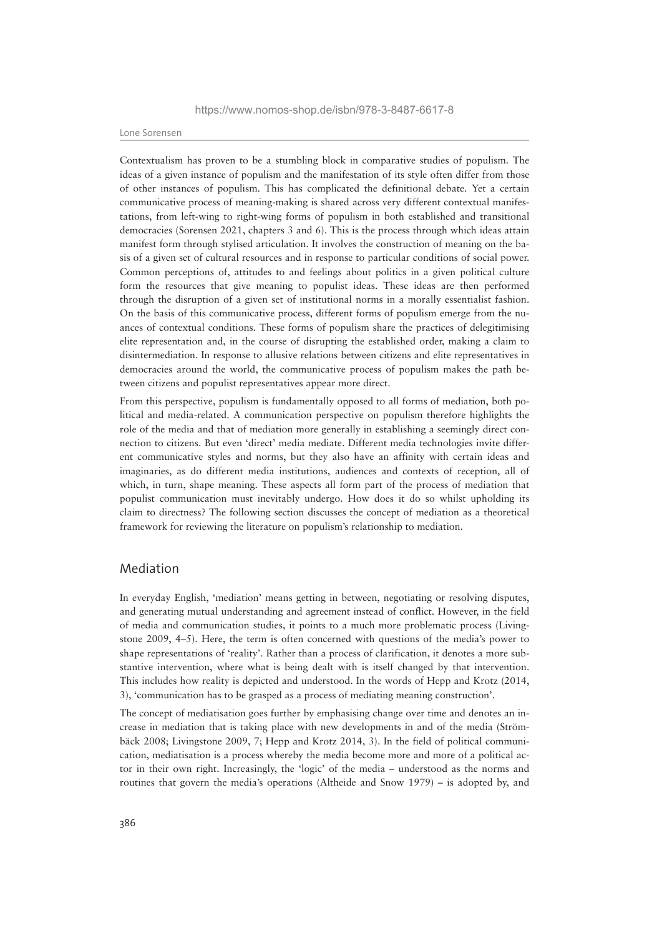Lone Sorensen

Contextualism has proven to be a stumbling block in comparative studies of populism. The ideas of a given instance of populism and the manifestation of its style often differ from those of other instances of populism. This has complicated the definitional debate. Yet a certain communicative process of meaning-making is shared across very different contextual manifestations, from left-wing to right-wing forms of populism in both established and transitional democracies (Sorensen 2021, chapters 3 and 6). This is the process through which ideas attain manifest form through stylised articulation. It involves the construction of meaning on the basis of a given set of cultural resources and in response to particular conditions of social power. Common perceptions of, attitudes to and feelings about politics in a given political culture form the resources that give meaning to populist ideas. These ideas are then performed through the disruption of a given set of institutional norms in a morally essentialist fashion. On the basis of this communicative process, different forms of populism emerge from the nuances of contextual conditions. These forms of populism share the practices of delegitimising elite representation and, in the course of disrupting the established order, making a claim to disintermediation. In response to allusive relations between citizens and elite representatives in democracies around the world, the communicative process of populism makes the path between citizens and populist representatives appear more direct.

From this perspective, populism is fundamentally opposed to all forms of mediation, both political and media-related. A communication perspective on populism therefore highlights the role of the media and that of mediation more generally in establishing a seemingly direct connection to citizens. But even 'direct' media mediate. Different media technologies invite different communicative styles and norms, but they also have an affinity with certain ideas and imaginaries, as do different media institutions, audiences and contexts of reception, all of which, in turn, shape meaning. These aspects all form part of the process of mediation that populist communication must inevitably undergo. How does it do so whilst upholding its claim to directness? The following section discusses the concept of mediation as a theoretical framework for reviewing the literature on populism's relationship to mediation.

## Mediation

In everyday English, 'mediation' means getting in between, negotiating or resolving disputes, and generating mutual understanding and agreement instead of conflict. However, in the field of media and communication studies, it points to a much more problematic process (Livingstone 2009, 4–5). Here, the term is often concerned with questions of the media's power to shape representations of 'reality'. Rather than a process of clarification, it denotes a more substantive intervention, where what is being dealt with is itself changed by that intervention. This includes how reality is depicted and understood. In the words of Hepp and Krotz (2014, 3), 'communication has to be grasped as a process of mediating meaning construction'.

The concept of mediatisation goes further by emphasising change over time and denotes an increase in mediation that is taking place with new developments in and of the media (Strömbäck 2008; Livingstone 2009, 7; Hepp and Krotz 2014, 3). In the field of political communication, mediatisation is a process whereby the media become more and more of a political actor in their own right. Increasingly, the 'logic' of the media – understood as the norms and routines that govern the media's operations (Altheide and Snow 1979) – is adopted by, and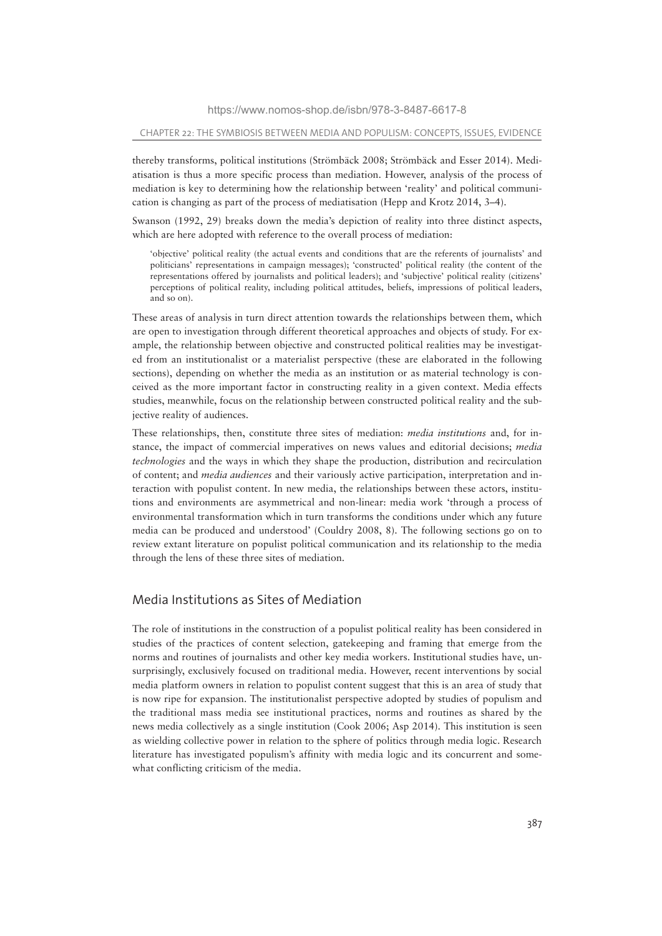#### CHAPTER 22: THE SYMBIOSIS BETWEEN MEDIA AND POPULISM: CONCEPTS, ISSUES, EVIDENCE

thereby transforms, political institutions (Strömbäck 2008; Strömbäck and Esser 2014). Mediatisation is thus a more specific process than mediation. However, analysis of the process of mediation is key to determining how the relationship between 'reality' and political communication is changing as part of the process of mediatisation (Hepp and Krotz 2014, 3–4).

Swanson (1992, 29) breaks down the media's depiction of reality into three distinct aspects, which are here adopted with reference to the overall process of mediation:

'objective' political reality (the actual events and conditions that are the referents of journalists' and politicians' representations in campaign messages); 'constructed' political reality (the content of the representations offered by journalists and political leaders); and 'subjective' political reality (citizens' perceptions of political reality, including political attitudes, beliefs, impressions of political leaders, and so on).

These areas of analysis in turn direct attention towards the relationships between them, which are open to investigation through different theoretical approaches and objects of study. For example, the relationship between objective and constructed political realities may be investigated from an institutionalist or a materialist perspective (these are elaborated in the following sections), depending on whether the media as an institution or as material technology is conceived as the more important factor in constructing reality in a given context. Media effects studies, meanwhile, focus on the relationship between constructed political reality and the subjective reality of audiences.

These relationships, then, constitute three sites of mediation: *media institutions* and, for instance, the impact of commercial imperatives on news values and editorial decisions; *media technologies* and the ways in which they shape the production, distribution and recirculation of content; and *media audiences* and their variously active participation, interpretation and interaction with populist content. In new media, the relationships between these actors, institutions and environments are asymmetrical and non-linear: media work 'through a process of environmental transformation which in turn transforms the conditions under which any future media can be produced and understood' (Couldry 2008, 8). The following sections go on to review extant literature on populist political communication and its relationship to the media through the lens of these three sites of mediation.

## Media Institutions as Sites of Mediation

The role of institutions in the construction of a populist political reality has been considered in studies of the practices of content selection, gatekeeping and framing that emerge from the norms and routines of journalists and other key media workers. Institutional studies have, unsurprisingly, exclusively focused on traditional media. However, recent interventions by social media platform owners in relation to populist content suggest that this is an area of study that is now ripe for expansion. The institutionalist perspective adopted by studies of populism and the traditional mass media see institutional practices, norms and routines as shared by the news media collectively as a single institution (Cook 2006; Asp 2014). This institution is seen as wielding collective power in relation to the sphere of politics through media logic. Research literature has investigated populism's affinity with media logic and its concurrent and somewhat conflicting criticism of the media.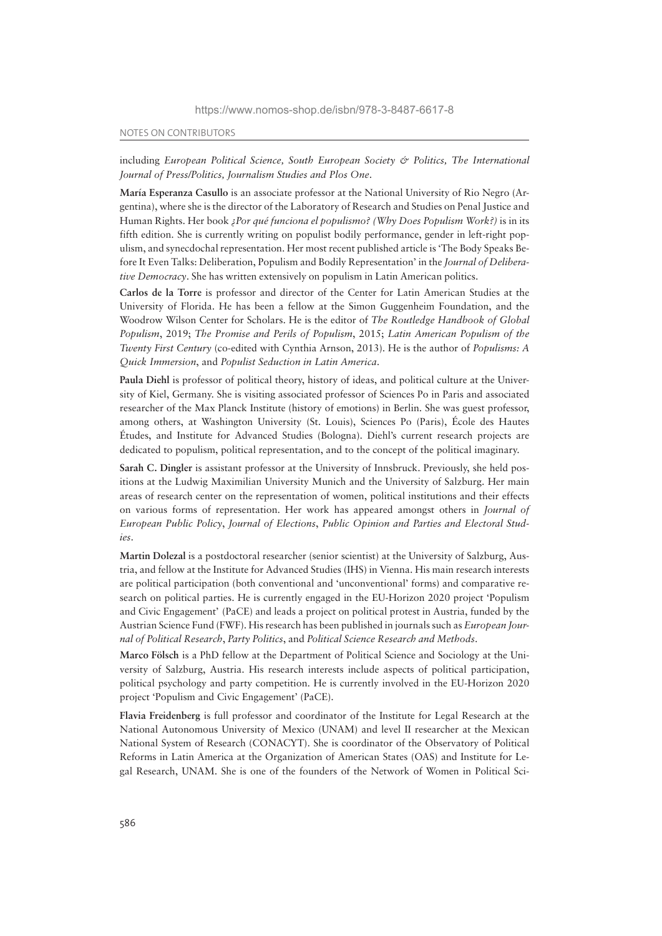#### NOTES ON CONTRIBUTORS

including *European Political Science, South European Society & Politics, The International Journal of Press/Politics, Journalism Studies and Plos One*.

**María Esperanza Casullo** is an associate professor at the National University of Rio Negro (Argentina), where she is the director of the Laboratory of Research and Studies on Penal Justice and Human Rights. Her book *¿Por qué funciona el populismo? (Why Does Populism Work?)* is in its fifth edition. She is currently writing on populist bodily performance, gender in left-right populism, and synecdochal representation. Her most recent published article is 'The Body Speaks Before It Even Talks: Deliberation, Populism and Bodily Representation' in the *Journal of Deliberative Democracy*. She has written extensively on populism in Latin American politics.

**Carlos de la Torre** is professor and director of the Center for Latin American Studies at the University of Florida. He has been a fellow at the Simon Guggenheim Foundation, and the Woodrow Wilson Center for Scholars. He is the editor of *The Routledge Handbook of Global Populism*, 2019; *The Promise and Perils of Populism*, 2015; *Latin American Populism of the Twenty First Century* (co-edited with Cynthia Arnson, 2013). He is the author of *Populisms: A Quick Immersion*, and *Populist Seduction in Latin America*.

**Paula Diehl** is professor of political theory, history of ideas, and political culture at the University of Kiel, Germany. She is visiting associated professor of Sciences Po in Paris and associated researcher of the Max Planck Institute (history of emotions) in Berlin. She was guest professor, among others, at Washington University (St. Louis), Sciences Po (Paris), École des Hautes Études, and Institute for Advanced Studies (Bologna). Diehl's current research projects are dedicated to populism, political representation, and to the concept of the political imaginary.

**Sarah C. Dingler** is assistant professor at the University of Innsbruck. Previously, she held positions at the Ludwig Maximilian University Munich and the University of Salzburg. Her main areas of research center on the representation of women, political institutions and their effects on various forms of representation. Her work has appeared amongst others in *Journal of European Public Policy*, *Journal of Elections*, *Public Opinion and Parties and Electoral Studies*.

**Martin Dolezal** is a postdoctoral researcher (senior scientist) at the University of Salzburg, Austria, and fellow at the Institute for Advanced Studies (IHS) in Vienna. His main research interests are political participation (both conventional and 'unconventional' forms) and comparative research on political parties. He is currently engaged in the EU-Horizon 2020 project 'Populism and Civic Engagement' (PaCE) and leads a project on political protest in Austria, funded by the Austrian Science Fund (FWF). His research has been published in journals such as *European Journal of Political Research*, *Party Politics*, and *Political Science Research and Methods*.

**Marco Fölsch** is a PhD fellow at the Department of Political Science and Sociology at the University of Salzburg, Austria. His research interests include aspects of political participation, political psychology and party competition. He is currently involved in the EU-Horizon 2020 project 'Populism and Civic Engagement' (PaCE).

**Flavia Freidenberg** is full professor and coordinator of the Institute for Legal Research at the National Autonomous University of Mexico (UNAM) and level II researcher at the Mexican National System of Research (CONACYT). She is coordinator of the Observatory of Political Reforms in Latin America at the Organization of American States (OAS) and Institute for Legal Research, UNAM. She is one of the founders of the Network of Women in Political Sci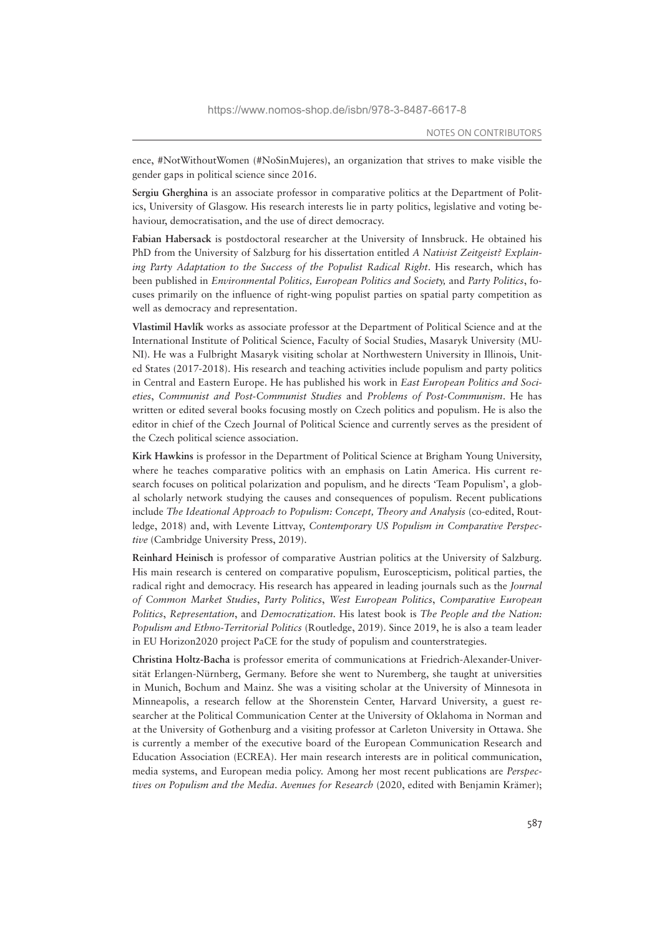ence, #NotWithoutWomen (#NoSinMujeres), an organization that strives to make visible the gender gaps in political science since 2016.

Sergiu Gherghina is an associate professor in comparative politics at the Department of Politics, University of Glasgow. His research interests lie in party politics, legislative and voting behaviour, democratisation, and the use of direct democracy.

**Fabian Habersack** is postdoctoral researcher at the University of Innsbruck. He obtained his PhD from the University of Salzburg for his dissertation entitled *A Nativist Zeitgeist? Explaining Party Adaptation to the Success of the Populist Radical Right*. His research, which has been published in *Environmental Politics, European Politics and Society,* and *Party Politics*, focuses primarily on the influence of right-wing populist parties on spatial party competition as well as democracy and representation.

**Vlastimil Havlík** works as associate professor at the Department of Political Science and at the International Institute of Political Science, Faculty of Social Studies, Masaryk University (MU-NI). He was a Fulbright Masaryk visiting scholar at Northwestern University in Illinois, United States (2017-2018). His research and teaching activities include populism and party politics in Central and Eastern Europe. He has published his work in *East European Politics and Societies*, *Communist and Post-Communist Studies* and *Problems of Post-Communism*. He has written or edited several books focusing mostly on Czech politics and populism. He is also the editor in chief of the Czech Journal of Political Science and currently serves as the president of the Czech political science association.

**Kirk Hawkins** is professor in the Department of Political Science at Brigham Young University, where he teaches comparative politics with an emphasis on Latin America. His current research focuses on political polarization and populism, and he directs 'Team Populism', a global scholarly network studying the causes and consequences of populism. Recent publications include *The Ideational Approach to Populism: Concept, Theory and Analysis* (co-edited, Routledge, 2018) and, with Levente Littvay, *Contemporary US Populism in Comparative Perspective* (Cambridge University Press, 2019).

**Reinhard Heinisch** is professor of comparative Austrian politics at the University of Salzburg. His main research is centered on comparative populism, Euroscepticism, political parties, the radical right and democracy. His research has appeared in leading journals such as the *Journal of Common Market Studies*, *Party Politics*, *West European Politics*, *Comparative European Politics*, *Representation*, and *Democratization*. His latest book is *The People and the Nation: Populism and Ethno-Territorial Politics* (Routledge, 2019). Since 2019, he is also a team leader in EU Horizon2020 project PaCE for the study of populism and counterstrategies.

**Christina Holtz-Bacha** is professor emerita of communications at Friedrich-Alexander-Universität Erlangen-Nürnberg, Germany. Before she went to Nuremberg, she taught at universities in Munich, Bochum and Mainz. She was a visiting scholar at the University of Minnesota in Minneapolis, a research fellow at the Shorenstein Center, Harvard University, a guest researcher at the Political Communication Center at the University of Oklahoma in Norman and at the University of Gothenburg and a visiting professor at Carleton University in Ottawa. She is currently a member of the executive board of the European Communication Research and Education Association (ECREA). Her main research interests are in political communication, media systems, and European media policy. Among her most recent publications are *Perspectives on Populism and the Media*. *Avenues for Research* (2020, edited with Benjamin Krämer);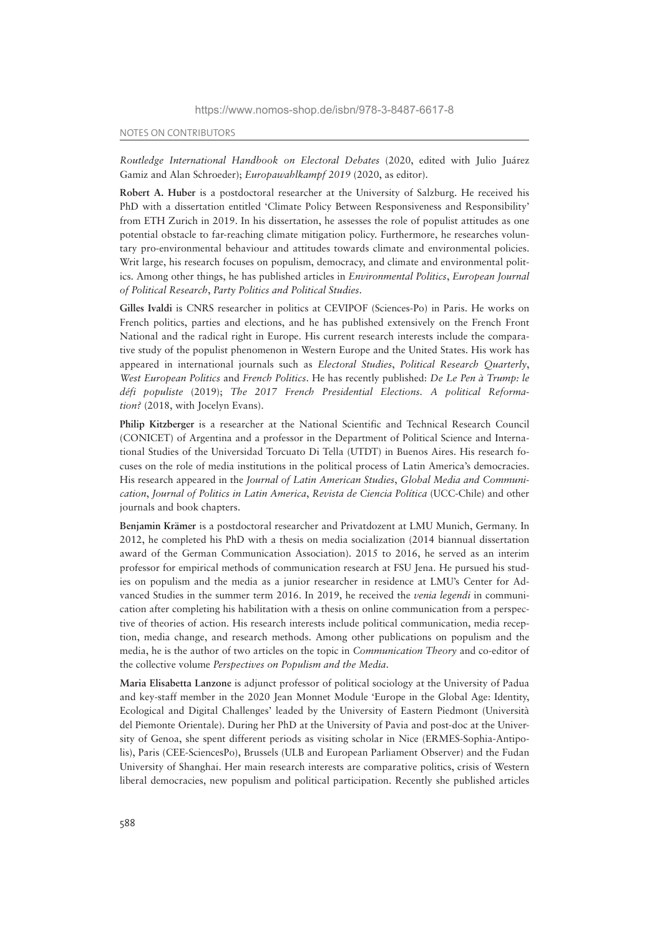#### NOTES ON CONTRIBUTORS

*Routledge International Handbook on Electoral Debates* (2020, edited with Julio Juárez Gamiz and Alan Schroeder); *Europawahlkampf 2019* (2020, as editor).

**Robert A. Huber** is a postdoctoral researcher at the University of Salzburg. He received his PhD with a dissertation entitled 'Climate Policy Between Responsiveness and Responsibility' from ETH Zurich in 2019. In his dissertation, he assesses the role of populist attitudes as one potential obstacle to far-reaching climate mitigation policy. Furthermore, he researches voluntary pro-environmental behaviour and attitudes towards climate and environmental policies. Writ large, his research focuses on populism, democracy, and climate and environmental politics. Among other things, he has published articles in *Environmental Politics*, *European Journal of Political Research*, *Party Politics and Political Studies*.

**Gilles Ivaldi** is CNRS researcher in politics at CEVIPOF (Sciences-Po) in Paris. He works on French politics, parties and elections, and he has published extensively on the French Front National and the radical right in Europe. His current research interests include the comparative study of the populist phenomenon in Western Europe and the United States. His work has appeared in international journals such as *Electoral Studies*, *Political Research Quarterly*, *West European Politics* and *French Politics*. He has recently published: *De Le Pen à Trump: le défi populiste* (2019); *The 2017 French Presidential Elections. A political Reformation?* (2018, with Jocelyn Evans).

**Philip Kitzberger** is a researcher at the National Scientific and Technical Research Council (CONICET) of Argentina and a professor in the Department of Political Science and International Studies of the Universidad Torcuato Di Tella (UTDT) in Buenos Aires. His research focuses on the role of media institutions in the political process of Latin America's democracies. His research appeared in the *Journal of Latin American Studies*, *Global Media and Communication*, *Journal of Politics in Latin America*, *Revista de Ciencia Política* (UCC-Chile) and other journals and book chapters.

**Benjamin Krämer** is a postdoctoral researcher and Privatdozent at LMU Munich, Germany. In 2012, he completed his PhD with a thesis on media socialization (2014 biannual dissertation award of the German Communication Association). 2015 to 2016, he served as an interim professor for empirical methods of communication research at FSU Jena. He pursued his studies on populism and the media as a junior researcher in residence at LMU's Center for Advanced Studies in the summer term 2016. In 2019, he received the *venia legendi* in communication after completing his habilitation with a thesis on online communication from a perspective of theories of action. His research interests include political communication, media reception, media change, and research methods. Among other publications on populism and the media, he is the author of two articles on the topic in *Communication Theory* and co-editor of the collective volume *Perspectives on Populism and the Media*.

**Maria Elisabetta Lanzone** is adjunct professor of political sociology at the University of Padua and key-staff member in the 2020 Jean Monnet Module 'Europe in the Global Age: Identity, Ecological and Digital Challenges' leaded by the University of Eastern Piedmont (Università del Piemonte Orientale). During her PhD at the University of Pavia and post-doc at the University of Genoa, she spent different periods as visiting scholar in Nice (ERMES-Sophia-Antipolis), Paris (CEE-SciencesPo), Brussels (ULB and European Parliament Observer) and the Fudan University of Shanghai. Her main research interests are comparative politics, crisis of Western liberal democracies, new populism and political participation. Recently she published articles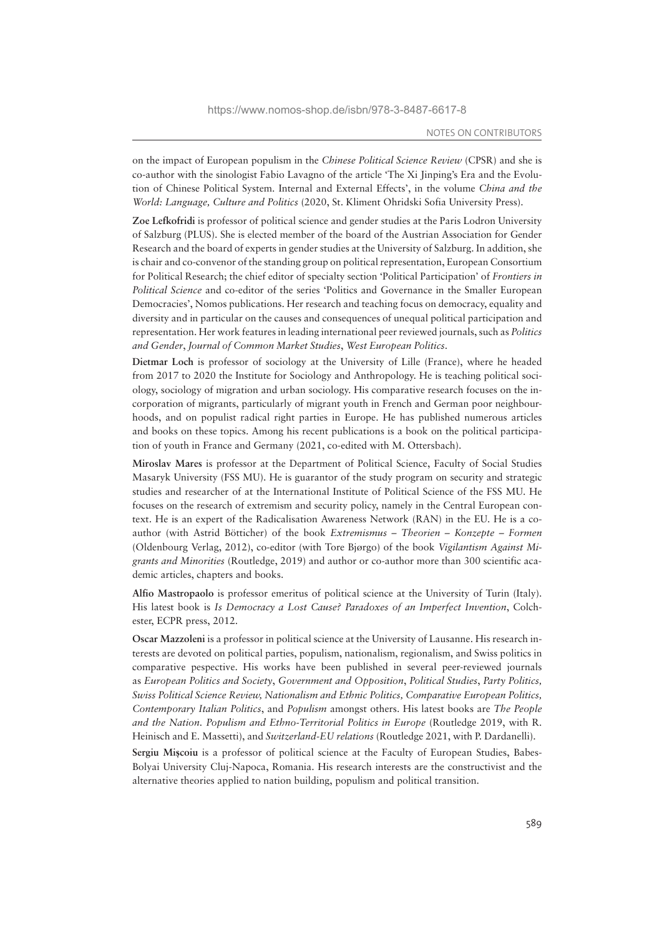on the impact of European populism in the *Chinese Political Science Review* (CPSR) and she is co-author with the sinologist Fabio Lavagno of the article 'The Xi Jinping's Era and the Evolution of Chinese Political System. Internal and External Effects', in the volume *China and the World: Language, Culture and Politics* (2020, St. Kliment Ohridski Sofia University Press).

**Zoe Lefkofridi** is professor of political science and gender studies at the Paris Lodron University of Salzburg (PLUS). She is elected member of the board of the Austrian Association for Gender Research and the board of experts in gender studies at the University of Salzburg. In addition, she is chair and co-convenor of the standing group on political representation, European Consortium for Political Research; the chief editor of specialty section 'Political Participation' of *Frontiers in Political Science* and co-editor of the series 'Politics and Governance in the Smaller European Democracies', Nomos publications. Her research and teaching focus on democracy, equality and diversity and in particular on the causes and consequences of unequal political participation and representation. Her work features in leading international peer reviewed journals, such as *Politics and Gender*, *Journal of Common Market Studies*, *West European Politics*.

**Dietmar Loch** is professor of sociology at the University of Lille (France), where he headed from 2017 to 2020 the Institute for Sociology and Anthropology. He is teaching political sociology, sociology of migration and urban sociology. His comparative research focuses on the incorporation of migrants, particularly of migrant youth in French and German poor neighbourhoods, and on populist radical right parties in Europe. He has published numerous articles and books on these topics. Among his recent publications is a book on the political participation of youth in France and Germany (2021, co-edited with M. Ottersbach).

**Miroslav Mares** is professor at the Department of Political Science, Faculty of Social Studies Masaryk University (FSS MU). He is guarantor of the study program on security and strategic studies and researcher of at the International Institute of Political Science of the FSS MU. He focuses on the research of extremism and security policy, namely in the Central European context. He is an expert of the Radicalisation Awareness Network (RAN) in the EU. He is a coauthor (with Astrid Bötticher) of the book *Extremismus – Theorien – Konzepte – Formen* (Oldenbourg Verlag, 2012), co-editor (with Tore Bjørgo) of the book *Vigilantism Against Migrants and Minorities* (Routledge, 2019) and author or co-author more than 300 scientific academic articles, chapters and books.

**Alfio Mastropaolo** is professor emeritus of political science at the University of Turin (Italy). His latest book is *Is Democracy a Lost Cause? Paradoxes of an Imperfect Invention*, Colchester, ECPR press, 2012.

**Oscar Mazzoleni** is a professor in political science at the University of Lausanne. His research interests are devoted on political parties, populism, nationalism, regionalism, and Swiss politics in comparative pespective. His works have been published in several peer-reviewed journals as *European Politics and Society*, *Government and Opposition*, *Political Studies*, *Party Politics, Swiss Political Science Review, Nationalism and Ethnic Politics, Comparative European Politics, Contemporary Italian Politics*, and *Populism* amongst others. His latest books are *The People and the Nation. Populism and Ethno-Territorial Politics in Europe* (Routledge 2019, with R. Heinisch and E. Massetti), and *Switzerland-EU relations* (Routledge 2021, with P. Dardanelli).

**Sergiu Mișcoiu** is a professor of political science at the Faculty of European Studies, Babes-Bolyai University Cluj-Napoca, Romania. His research interests are the constructivist and the alternative theories applied to nation building, populism and political transition.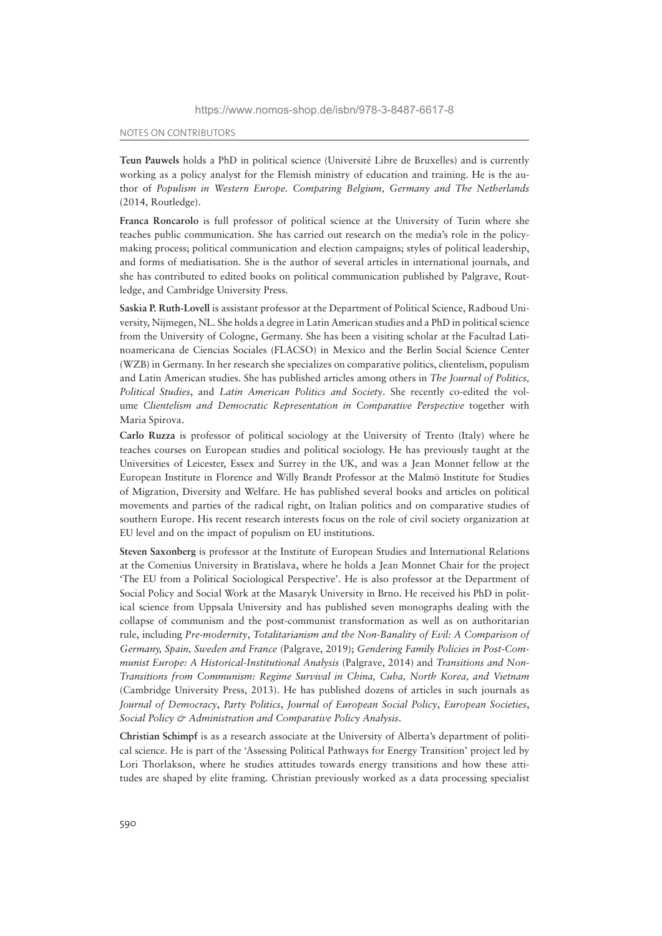#### NOTES ON CONTRIBUTORS

**Teun Pauwels** holds a PhD in political science (Université Libre de Bruxelles) and is currently working as a policy analyst for the Flemish ministry of education and training. He is the author of *Populism in Western Europe. Comparing Belgium, Germany and The Netherlands* (2014, Routledge).

**Franca Roncarolo** is full professor of political science at the University of Turin where she teaches public communication. She has carried out research on the media's role in the policymaking process; political communication and election campaigns; styles of political leadership, and forms of mediatisation. She is the author of several articles in international journals, and she has contributed to edited books on political communication published by Palgrave, Routledge, and Cambridge University Press.

**Saskia P. Ruth-Lovell** is assistant professor at the Department of Political Science, Radboud University, Nijmegen, NL. She holds a degree in Latin American studies and a PhD in political science from the University of Cologne, Germany. She has been a visiting scholar at the Facultad Latinoamericana de Ciencias Sociales (FLACSO) in Mexico and the Berlin Social Science Center (WZB) in Germany. In her research she specializes on comparative politics, clientelism, populism and Latin American studies. She has published articles among others in *The Journal of Politics, Political Studies*, and *Latin American Politics and Society*. She recently co-edited the volume *Clientelism and Democratic Representation in Comparative Perspective* together with Maria Spirova.

**Carlo Ruzza** is professor of political sociology at the University of Trento (Italy) where he teaches courses on European studies and political sociology. He has previously taught at the Universities of Leicester, Essex and Surrey in the UK, and was a Jean Monnet fellow at the European Institute in Florence and Willy Brandt Professor at the Malmö Institute for Studies of Migration, Diversity and Welfare. He has published several books and articles on political movements and parties of the radical right, on Italian politics and on comparative studies of southern Europe. His recent research interests focus on the role of civil society organization at EU level and on the impact of populism on EU institutions.

**Steven Saxonberg** is professor at the Institute of European Studies and International Relations at the Comenius University in Bratislava, where he holds a Jean Monnet Chair for the project 'The EU from a Political Sociological Perspective'. He is also professor at the Department of Social Policy and Social Work at the Masaryk University in Brno. He received his PhD in political science from Uppsala University and has published seven monographs dealing with the collapse of communism and the post-communist transformation as well as on authoritarian rule, including *Pre-modernity*, *Totalitarianism and the Non-Banality of Evil: A Comparison of Germany, Spain, Sweden and France* (Palgrave, 2019); *Gendering Family Policies in Post-Communist Europe: A Historical-Institutional Analysis* (Palgrave, 2014) and *Transitions and Non-Transitions from Communism: Regime Survival in China, Cuba, North Korea, and Vietnam* (Cambridge University Press, 2013). He has published dozens of articles in such journals as *Journal of Democracy*, *Party Politics*, *Journal of European Social Policy*, *European Societies*, *Social Policy & Administration and Comparative Policy Analysis*.

**Christian Schimpf** is as a research associate at the University of Alberta's department of political science. He is part of the 'Assessing Political Pathways for Energy Transition' project led by Lori Thorlakson, where he studies attitudes towards energy transitions and how these attitudes are shaped by elite framing. Christian previously worked as a data processing specialist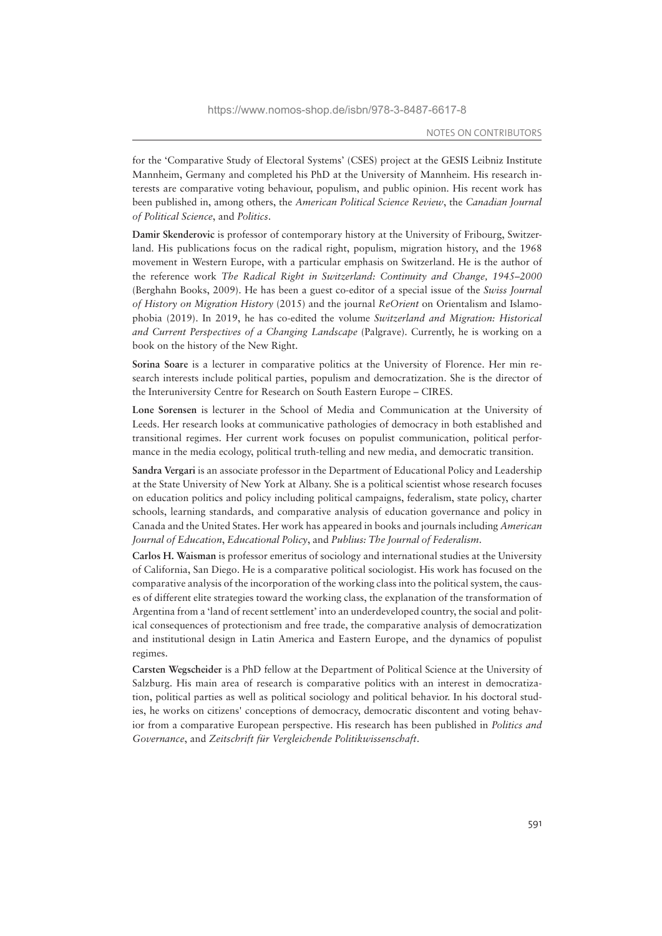for the 'Comparative Study of Electoral Systems' (CSES) project at the GESIS Leibniz Institute Mannheim, Germany and completed his PhD at the University of Mannheim. His research interests are comparative voting behaviour, populism, and public opinion. His recent work has been published in, among others, the *American Political Science Review*, the *Canadian Journal of Political Science*, and *Politics*.

**Damir Skenderovic** is professor of contemporary history at the University of Fribourg, Switzerland. His publications focus on the radical right, populism, migration history, and the 1968 movement in Western Europe, with a particular emphasis on Switzerland. He is the author of the reference work *The Radical Right in Switzerland: Continuity and Change, 1945–2000* (Berghahn Books, 2009). He has been a guest co-editor of a special issue of the *Swiss Journal of History on Migration History* (2015) and the journal *ReOrient* on Orientalism and Islamophobia (2019). In 2019, he has co-edited the volume *Switzerland and Migration: Historical and Current Perspectives of a Changing Landscape* (Palgrave). Currently, he is working on a book on the history of the New Right.

**Sorina Soare** is a lecturer in comparative politics at the University of Florence. Her min research interests include political parties, populism and democratization. She is the director of the Interuniversity Centre for Research on South Eastern Europe – CIRES.

**Lone Sorensen** is lecturer in the School of Media and Communication at the University of Leeds. Her research looks at communicative pathologies of democracy in both established and transitional regimes. Her current work focuses on populist communication, political performance in the media ecology, political truth-telling and new media, and democratic transition.

**Sandra Vergari** is an associate professor in the Department of Educational Policy and Leadership at the State University of New York at Albany. She is a political scientist whose research focuses on education politics and policy including political campaigns, federalism, state policy, charter schools, learning standards, and comparative analysis of education governance and policy in Canada and the United States. Her work has appeared in books and journals including *American Journal of Education*, *Educational Policy*, and *Publius: The Journal of Federalism*.

**Carlos H. Waisman** is professor emeritus of sociology and international studies at the University of California, San Diego. He is a comparative political sociologist. His work has focused on the comparative analysis of the incorporation of the working class into the political system, the causes of different elite strategies toward the working class, the explanation of the transformation of Argentina from a 'land of recent settlement' into an underdeveloped country, the social and political consequences of protectionism and free trade, the comparative analysis of democratization and institutional design in Latin America and Eastern Europe, and the dynamics of populist regimes.

**Carsten Wegscheider** is a PhD fellow at the Department of Political Science at the University of Salzburg. His main area of research is comparative politics with an interest in democratization, political parties as well as political sociology and political behavior. In his doctoral studies, he works on citizens' conceptions of democracy, democratic discontent and voting behavior from a comparative European perspective. His research has been published in *Politics and Governance*, and *Zeitschrift für Vergleichende Politikwissenschaft*.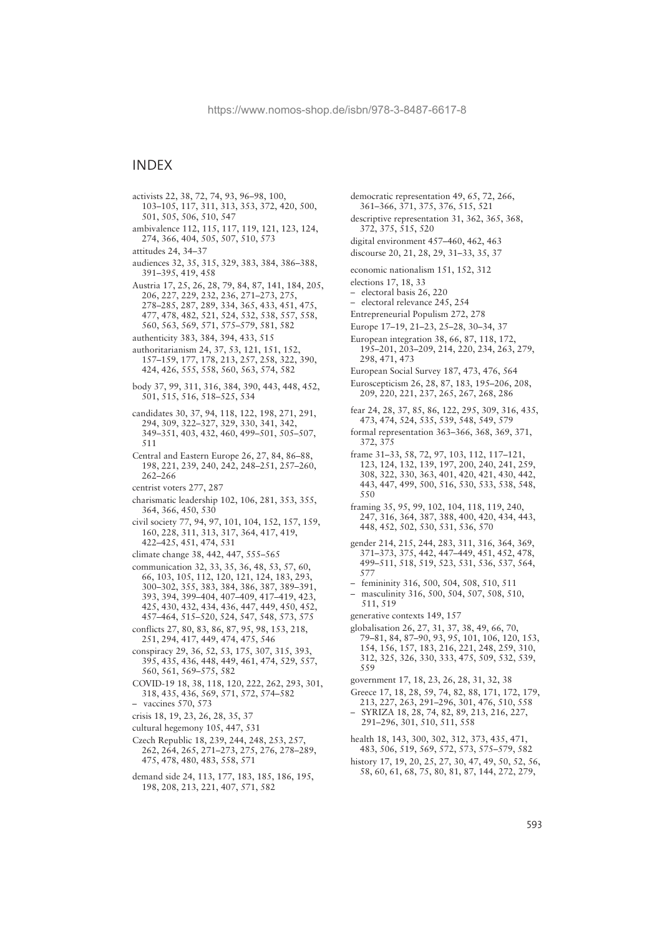## INDEX

activists 22, 38, 72, 74, 93, 96–98, 100, 103–105, 117, 311, 313, 353, 372, 420, 500, 501, 505, 506, 510, 547 ambivalence 112, 115, 117, 119, 121, 123, 124, 274, 366, 404, 505, 507, 510, 573 attitudes 24, 34–37 audiences 32, 35, 315, 329, 383, 384, 386–388, 391–395, 419, 458 Austria 17, 25, 26, 28, 79, 84, 87, 141, 184, 205, 206, 227, 229, 232, 236, 271–273, 275, 278–285, 287, 289, 334, 365, 433, 451, 475, 477, 478, 482, 521, 524, 532, 538, 557, 558, 560, 563, 569, 571, 575–579, 581, 582 authenticity 383, 384, 394, 433, 515 authoritarianism 24, 37, 53, 121, 151, 152, 157–159, 177, 178, 213, 257, 258, 322, 390, 424, 426, 555, 558, 560, 563, 574, 582 body 37, 99, 311, 316, 384, 390, 443, 448, 452, 501, 515, 516, 518–525, 534 candidates 30, 37, 94, 118, 122, 198, 271, 291, 294, 309, 322–327, 329, 330, 341, 342, 349–351, 403, 432, 460, 499–501, 505–507, 511 Central and Eastern Europe 26, 27, 84, 86–88, 198, 221, 239, 240, 242, 248–251, 257–260, 262–266 centrist voters 277, 287 charismatic leadership 102, 106, 281, 353, 355, 364, 366, 450, 530 civil society 77, 94, 97, 101, 104, 152, 157, 159, 160, 228, 311, 313, 317, 364, 417, 419, 422–425, 451, 474, 531 climate change 38, 442, 447, 555–565 communication 32, 33, 35, 36, 48, 53, 57, 60, 66, 103, 105, 112, 120, 121, 124, 183, 293, 300–302, 355, 383, 384, 386, 387, 389–391, 393, 394, 399–404, 407–409, 417–419, 423, 425, 430, 432, 434, 436, 447, 449, 450, 452, 457–464, 515–520, 524, 547, 548, 573, 575 conflicts 27, 80, 83, 86, 87, 95, 98, 153, 218, 251, 294, 417, 449, 474, 475, 546 conspiracy 29, 36, 52, 53, 175, 307, 315, 393, 395, 435, 436, 448, 449, 461, 474, 529, 557, 560, 561, 569–575, 582 COVID-19 18, 38, 118, 120, 222, 262, 293, 301, 318, 435, 436, 569, 571, 572, 574–582 – vaccines 570, 573 crisis 18, 19, 23, 26, 28, 35, 37 cultural hegemony 105, 447, 531 Czech Republic 18, 239, 244, 248, 253, 257, 262, 264, 265, 271–273, 275, 276, 278–289, 475, 478, 480, 483, 558, 571 demand side 24, 113, 177, 183, 185, 186, 195,

198, 208, 213, 221, 407, 571, 582

democratic representation 49, 65, 72, 266, 361–366, 371, 375, 376, 515, 521 descriptive representation 31, 362, 365, 368, 372, 375, 515, 520 digital environment 457–460, 462, 463 discourse 20, 21, 28, 29, 31–33, 35, 37 economic nationalism 151, 152, 312 elections 17, 18, 33 – electoral basis 26, 220 – electoral relevance 245, 254 Entrepreneurial Populism 272, 278 Europe 17–19, 21–23, 25–28, 30–34, 37 European integration 38, 66, 87, 118, 172, 195–201, 203–209, 214, 220, 234, 263, 279, 298, 471, 473 European Social Survey 187, 473, 476, 564 Euroscepticism 26, 28, 87, 183, 195–206, 208, 209, 220, 221, 237, 265, 267, 268, 286 fear 24, 28, 37, 85, 86, 122, 295, 309, 316, 435, 473, 474, 524, 535, 539, 548, 549, 579 formal representation 363–366, 368, 369, 371, 372, 375 frame 31–33, 58, 72, 97, 103, 112, 117–121, 123, 124, 132, 139, 197, 200, 240, 241, 259, 308, 322, 330, 363, 401, 420, 421, 430, 442, 443, 447, 499, 500, 516, 530, 533, 538, 548, 550 framing 35, 95, 99, 102, 104, 118, 119, 240, 247, 316, 364, 387, 388, 400, 420, 434, 443, 448, 452, 502, 530, 531, 536, 570 gender 214, 215, 244, 283, 311, 316, 364, 369, 371–373, 375, 442, 447–449, 451, 452, 478, 499–511, 518, 519, 523, 531, 536, 537, 564, 577 – femininity 316, 500, 504, 508, 510, 511 – masculinity 316, 500, 504, 507, 508, 510, 511, 519 generative contexts 149, 157 globalisation 26, 27, 31, 37, 38, 49, 66, 70, 79–81, 84, 87–90, 93, 95, 101, 106, 120, 153, 154, 156, 157, 183, 216, 221, 248, 259, 310, 312, 325, 326, 330, 333, 475, 509, 532, 539, 559 government 17, 18, 23, 26, 28, 31, 32, 38 Greece 17, 18, 28, 59, 74, 82, 88, 171, 172, 179, 213, 227, 263, 291–296, 301, 476, 510, 558 – SYRIZA 18, 28, 74, 82, 89, 213, 216, 227, 291–296, 301, 510, 511, 558 health 18, 143, 300, 302, 312, 373, 435, 471, 483, 506, 519, 569, 572, 573, 575–579, 582 history 17, 19, 20, 25, 27, 30, 47, 49, 50, 52, 56, 58, 60, 61, 68, 75, 80, 81, 87, 144, 272, 279,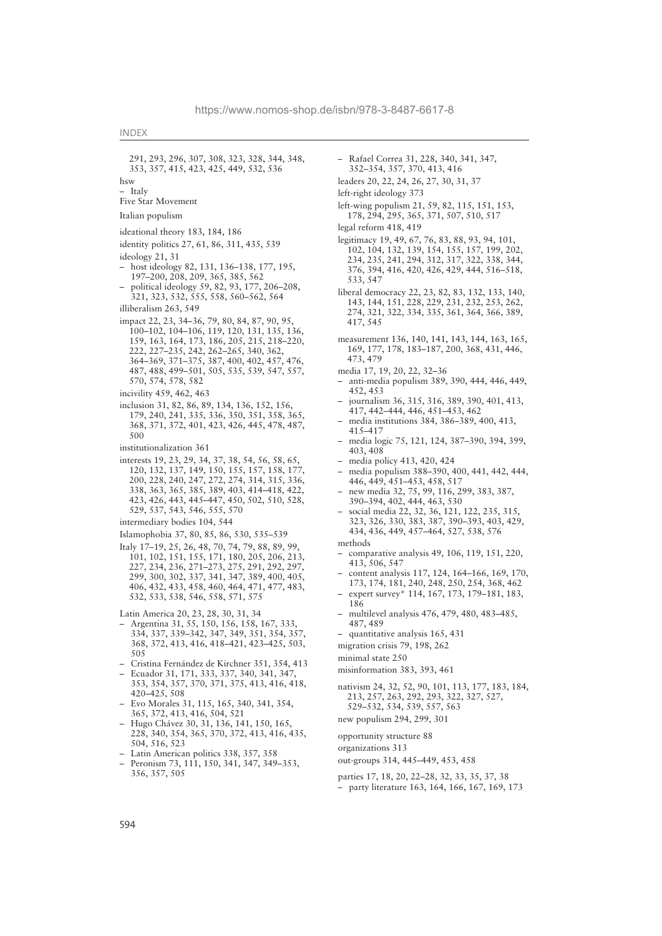291, 293, 296, 307, 308, 323, 328, 344, 348, 353, 357, 415, 423, 425, 449, 532, 536 hsw – Italy Five Star Movement Italian populism ideational theory 183, 184, 186 identity politics 27, 61, 86, 311, 435, 539 ideology 21, 31 – host ideology 82, 131, 136–138, 177, 195, 197–200, 208, 209, 365, 385, 562 – political ideology 59, 82, 93, 177, 206–208, 321, 323, 532, 555, 558, 560–562, 564 illiberalism 263, 549 impact 22, 23, 34–36, 79, 80, 84, 87, 90, 95, 100–102, 104–106, 119, 120, 131, 135, 136, 159, 163, 164, 173, 186, 205, 215, 218–220, 222, 227–235, 242, 262–265, 340, 362, 364–369, 371–375, 387, 400, 402, 457, 476, 487, 488, 499–501, 505, 535, 539, 547, 557, 570, 574, 578, 582 incivility 459, 462, 463 inclusion 31, 82, 86, 89, 134, 136, 152, 156, 179, 240, 241, 335, 336, 350, 351, 358, 365, 368, 371, 372, 401, 423, 426, 445, 478, 487, 500 institutionalization 361 interests 19, 23, 29, 34, 37, 38, 54, 56, 58, 65, 120, 132, 137, 149, 150, 155, 157, 158, 177, 200, 228, 240, 247, 272, 274, 314, 315, 336, 338, 363, 365, 385, 389, 403, 414–418, 422, 423, 426, 443, 445–447, 450, 502, 510, 528, 529, 537, 543, 546, 555, 570 intermediary bodies 104, 544 Islamophobia 37, 80, 85, 86, 530, 535–539 Italy 17–19, 25, 26, 48, 70, 74, 79, 88, 89, 99, 101, 102, 151, 155, 171, 180, 205, 206, 213, 227, 234, 236, 271–273, 275, 291, 292, 297, 299, 300, 302, 337, 341, 347, 389, 400, 405, 406, 432, 433, 458, 460, 464, 471, 477, 483, 532, 533, 538, 546, 558, 571, 575 Latin America 20, 23, 28, 30, 31, 34 – Argentina 31, 55, 150, 156, 158, 167, 333, 334, 337, 339–342, 347, 349, 351, 354, 357, 368, 372, 413, 416, 418–421, 423–425, 503, 505 – Cristina Fernández de Kirchner 351, 354, 413 – Ecuador 31, 171, 333, 337, 340, 341, 347, 353, 354, 357, 370, 371, 375, 413, 416, 418, 420–425, 508 – Evo Morales 31, 115, 165, 340, 341, 354, 365, 372, 413, 416, 504, 521 – Hugo Chávez 30, 31, 136, 141, 150, 165, 228, 340, 354, 365, 370, 372, 413, 416, 435, 504, 516, 523

- Latin American politics 338, 357, 358
- Peronism 73, 111, 150, 341, 347, 349–353, 356, 357, 505
- Rafael Correa 31, 228, 340, 341, 347, 352–354, 357, 370, 413, 416
- leaders 20, 22, 24, 26, 27, 30, 31, 37
- left-right ideology 373
- left-wing populism 21, 59, 82, 115, 151, 153, 178, 294, 295, 365, 371, 507, 510, 517
- legal reform 418, 419
- legitimacy 19, 49, 67, 76, 83, 88, 93, 94, 101, 102, 104, 132, 139, 154, 155, 157, 199, 202, 234, 235, 241, 294, 312, 317, 322, 338, 344, 376, 394, 416, 420, 426, 429, 444, 516–518, 533, 547
- liberal democracy 22, 23, 82, 83, 132, 133, 140, 143, 144, 151, 228, 229, 231, 232, 253, 262, 274, 321, 322, 334, 335, 361, 364, 366, 389, 417, 545
- measurement 136, 140, 141, 143, 144, 163, 165, 169, 177, 178, 183–187, 200, 368, 431, 446, 473, 479
- media 17, 19, 20, 22, 32–36
- anti-media populism 389, 390, 444, 446, 449, 452, 453
- journalism 36, 315, 316, 389, 390, 401, 413, 417, 442–444, 446, 451–453, 462
- media institutions 384, 386–389, 400, 413, 415–417
- media logic 75, 121, 124, 387–390, 394, 399, 403, 408
- media policy 413, 420, 424
- media populism 388–390, 400, 441, 442, 444, 446, 449, 451–453, 458, 517
- new media 32, 75, 99, 116, 299, 383, 387, 390–394, 402, 444, 463, 530
- social media 22, 32, 36, 121, 122, 235, 315, 323, 326, 330, 383, 387, 390–393, 403, 429, 434, 436, 449, 457–464, 527, 538, 576
- methods
- comparative analysis 49, 106, 119, 151, 220, 413, 506, 547
- content analysis 117, 124, 164–166, 169, 170, 173, 174, 181, 240, 248, 250, 254, 368, 462
- expert survey\* 114, 167, 173, 179–181, 183, 186
- multilevel analysis 476, 479, 480, 483–485, 487, 489
- quantitative analysis 165, 431
- migration crisis 79, 198, 262
- minimal state 250
- misinformation 383, 393, 461
- nativism 24, 32, 52, 90, 101, 113, 177, 183, 184, 213, 257, 263, 292, 293, 322, 327, 527, 529–532, 534, 539, 557, 563 new populism 294, 299, 301

opportunity structure 88

- organizations 313
- out-groups 314, 445–449, 453, 458
- parties 17, 18, 20, 22–28, 32, 33, 35, 37, 38 – party literature 163, 164, 166, 167, 169, 173